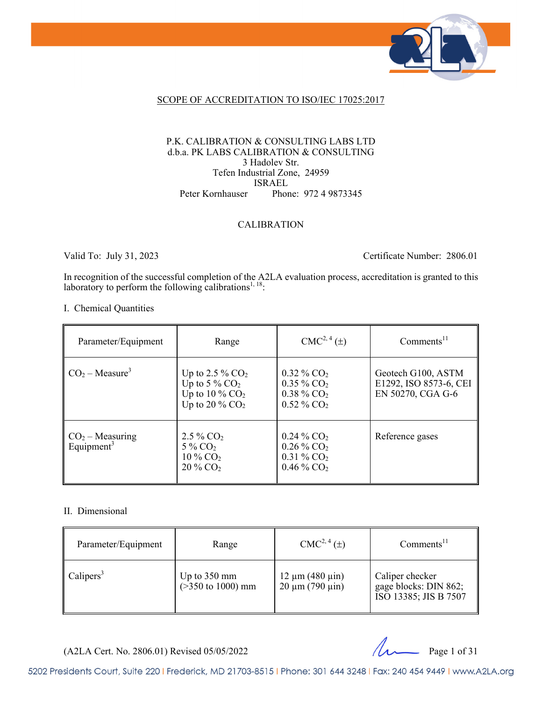

#### SCOPE OF ACCREDITATION TO ISO/IEC 17025:2017

#### P.K. CALIBRATION & CONSULTING LABS LTD d.b.a. PK LABS CALIBRATION & CONSULTING 3 Hadolev Str. Tefen Industrial Zone, 24959 ISRAEL Peter Kornhauser Phone: 972 4 9873345

#### CALIBRATION

Valid To: July 31, 2023 Certificate Number: 2806.01

In recognition of the successful completion of the A2LA evaluation process, accreditation is granted to this laboratory to perform the following calibrations<sup>1, 18</sup>:

#### I. Chemical Quantities

| Parameter/Equipment                         | Range                                                                                    | $CMC2, 4(\pm)$                                                                                               | $Comments^{11}$                                                   |
|---------------------------------------------|------------------------------------------------------------------------------------------|--------------------------------------------------------------------------------------------------------------|-------------------------------------------------------------------|
| $CO2 - Measure3$                            | Up to 2.5 % $CO2$<br>Up to 5 % $CO2$<br>Up to $10\%$ CO <sub>2</sub><br>Up to 20 % $CO2$ | $0.32\%$ CO <sub>2</sub><br>$0.35\%$ CO <sub>2</sub><br>$0.38\%$ CO <sub>2</sub><br>$0.52\%$ CO <sub>2</sub> | Geotech G100, ASTM<br>E1292, ISO 8573-6, CEI<br>EN 50270, CGA G-6 |
| $CO2 - Measuring$<br>Equipment <sup>3</sup> | $2.5\%$ CO <sub>2</sub><br>$5\%$ CO <sub>2</sub><br>10 % $CO2$<br>$20\%$ CO <sub>2</sub> | $0.24\%$ CO <sub>2</sub><br>$0.26\%$ CO <sub>2</sub><br>$0.31\%$ CO <sub>2</sub><br>$0.46\%$ CO <sub>2</sub> | Reference gases                                                   |

#### II. Dimensional

| Parameter/Equipment   | Range                                          | $CMC2, 4(\pm)$                                   | Comments <sup>11</sup>                                            |
|-----------------------|------------------------------------------------|--------------------------------------------------|-------------------------------------------------------------------|
| Calipers <sup>3</sup> | Up to $350 \text{ mm}$<br>$($ >350 to 1000) mm | $12 \mu m (480 \mu m)$<br>$20 \mu m (790 \mu m)$ | Caliper checker<br>gage blocks: DIN 862;<br>ISO 13385; JIS B 7507 |



5202 Presidents Court, Suite 220 | Frederick, MD 21703-8515 | Phone: 301 644 3248 | Fax: 240 454 9449 | www.A2LA.org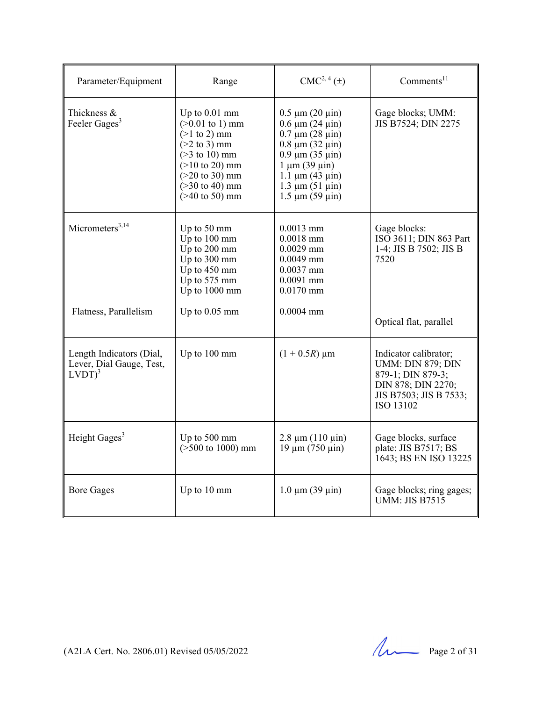| Parameter/Equipment                                               | Range                                                                                                                                                                                                                             | $CMC2, 4(\pm)$                                                                                                                                                                                                                       | Comments <sup>11</sup>                                                                                                              |
|-------------------------------------------------------------------|-----------------------------------------------------------------------------------------------------------------------------------------------------------------------------------------------------------------------------------|--------------------------------------------------------------------------------------------------------------------------------------------------------------------------------------------------------------------------------------|-------------------------------------------------------------------------------------------------------------------------------------|
| Thickness &<br>Feeler Gages <sup>3</sup>                          | Up to $0.01$ mm<br>$(>0.01 \text{ to } 1) \text{ mm}$<br>$(>1$ to 2) mm<br>$(>2$ to 3) mm<br>$($ >3 to 10) mm<br>$(>10 \text{ to } 20) \text{ mm}$<br>$(>20 \text{ to } 30) \text{ mm}$<br>$($ >30 to 40) mm<br>$($ >40 to 50) mm | $0.5 \mu m (20 \mu m)$<br>$0.6 \mu m (24 \mu m)$<br>$0.7 \mu m (28 \mu m)$<br>$0.8 \mu m (32 \mu m)$<br>$0.9 \mu m (35 \mu m)$<br>$1 \mu m (39 \mu m)$<br>$1.1 \mu m (43 \mu m)$<br>$1.3 \mu m (51 \mu m)$<br>$1.5 \mu m (59 \mu m)$ | Gage blocks; UMM:<br>JIS B7524; DIN 2275                                                                                            |
| Micrometers $3,14$                                                | Up to 50 mm<br>Up to 100 mm<br>Up to 200 mm<br>Up to 300 mm<br>Up to 450 mm<br>Up to 575 mm<br>Up to 1000 mm                                                                                                                      | $0.0013$ mm<br>$0.0018$ mm<br>$0.0029$ mm<br>$0.0049$ mm<br>$0.0037$ mm<br>$0.0091$ mm<br>$0.0170$ mm                                                                                                                                | Gage blocks:<br>ISO 3611; DIN 863 Part<br>1-4; JIS B 7502; JIS B<br>7520                                                            |
| Flatness, Parallelism                                             | Up to $0.05$ mm                                                                                                                                                                                                                   | $0.0004$ mm                                                                                                                                                                                                                          | Optical flat, parallel                                                                                                              |
| Length Indicators (Dial,<br>Lever, Dial Gauge, Test,<br>$LVDT)^3$ | Up to 100 mm                                                                                                                                                                                                                      | $(1 + 0.5R) \mu m$                                                                                                                                                                                                                   | Indicator calibrator;<br><b>UMM: DIN 879; DIN</b><br>879-1; DIN 879-3;<br>DIN 878; DIN 2270;<br>JIS B7503; JIS B 7533;<br>ISO 13102 |
| Height Gages <sup>3</sup>                                         | Up to 500 mm<br>$($ >500 to 1000) mm                                                                                                                                                                                              | $2.8 \mu m (110 \mu m)$<br>$19 \mu m (750 \mu m)$                                                                                                                                                                                    | Gage blocks, surface<br>plate: JIS B7517; BS<br>1643; BS EN ISO 13225                                                               |
| <b>Bore Gages</b>                                                 | Up to 10 mm                                                                                                                                                                                                                       | $1.0 \mu m (39 \mu m)$                                                                                                                                                                                                               | Gage blocks; ring gages;<br><b>UMM: JIS B7515</b>                                                                                   |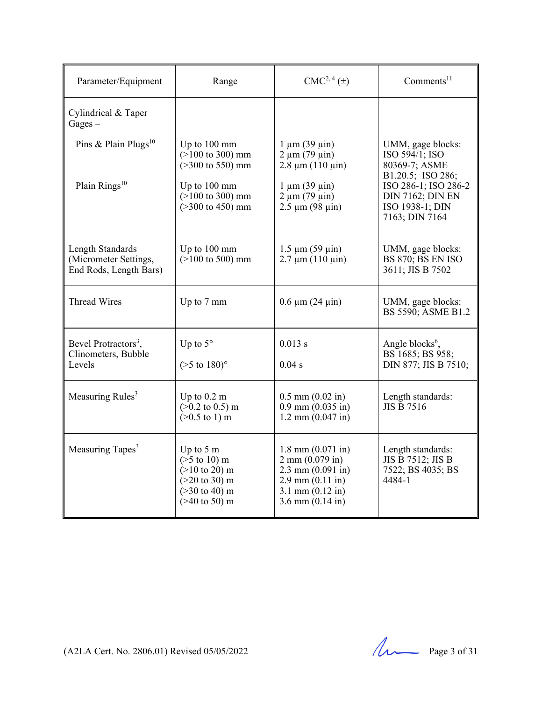| Parameter/Equipment                                                 | Range                                                                                                                                                              | $CMC2, 4(\pm)$                                                                                                                                                                   | Comments <sup>11</sup>                                                                                                                                            |
|---------------------------------------------------------------------|--------------------------------------------------------------------------------------------------------------------------------------------------------------------|----------------------------------------------------------------------------------------------------------------------------------------------------------------------------------|-------------------------------------------------------------------------------------------------------------------------------------------------------------------|
| Cylindrical & Taper<br>$Gages -$                                    |                                                                                                                                                                    |                                                                                                                                                                                  |                                                                                                                                                                   |
| Pins & Plain Plugs <sup>10</sup><br>Plain $Rings10$                 | Up to $100 \text{ mm}$<br>$(>100 \text{ to } 300) \text{ mm}$<br>$($ >300 to 550) mm<br>Up to 100 mm<br>$(>100 \text{ to } 300) \text{ mm}$<br>$($ >300 to 450) mm | $1 \mu m (39 \mu m)$<br>$2 \mu m (79 \mu m)$<br>$2.8 \mu m (110 \mu m)$<br>$1 \mu m (39 \mu m)$<br>$2 \mu m (79 \mu m)$<br>$2.5 \mu m (98 \mu m)$                                | UMM, gage blocks:<br>ISO 594/1; ISO<br>80369-7; ASME<br>B1.20.5; ISO 286;<br>ISO 286-1; ISO 286-2<br><b>DIN 7162; DIN EN</b><br>ISO 1938-1; DIN<br>7163; DIN 7164 |
| Length Standards<br>(Micrometer Settings,<br>End Rods, Length Bars) | Up to 100 mm<br>$($ >100 to 500) mm                                                                                                                                | $1.5 \mu m (59 \mu m)$<br>$2.7 \mu m (110 \mu m)$                                                                                                                                | UMM, gage blocks:<br>BS 870; BS EN ISO<br>3611; JIS B 7502                                                                                                        |
| <b>Thread Wires</b>                                                 | Up to 7 mm                                                                                                                                                         | $0.6 \mu m (24 \mu m)$                                                                                                                                                           | UMM, gage blocks:<br>BS 5590; ASME B1.2                                                                                                                           |
| Bevel Protractors <sup>3</sup> ,<br>Clinometers, Bubble<br>Levels   | Up to $5^\circ$<br>$($ >5 to 180) $^{\circ}$                                                                                                                       | 0.013 s<br>0.04 s                                                                                                                                                                | Angle blocks <sup>6</sup> ,<br>BS 1685; BS 958;<br>DIN 877; JIS B 7510;                                                                                           |
| Measuring Rules <sup>3</sup>                                        | Up to $0.2 \text{ m}$<br>$(>0.2 \text{ to } 0.5) \text{ m}$<br>$(>0.5 \text{ to } 1) \text{ m}$                                                                    | $0.5$ mm $(0.02$ in)<br>$0.9$ mm $(0.035$ in)<br>$1.2$ mm $(0.047$ in)                                                                                                           | Length standards:<br><b>JIS B 7516</b>                                                                                                                            |
| Measuring Tapes <sup>3</sup>                                        | Up to $5 \text{ m}$<br>$($ >5 to 10) m<br>$(>10 \text{ to } 20) \text{ m}$<br>$(>20 \text{ to } 30) \text{ m}$<br>$($ >30 to 40) m<br>$($ >40 to 50) m             | $1.8$ mm $(0.071$ in)<br>$2 \text{ mm } (0.079 \text{ in})$<br>$2.3$ mm $(0.091$ in)<br>$2.9 \text{ mm} (0.11 \text{ in})$<br>3.1 mm $(0.12 \text{ in})$<br>$3.6$ mm $(0.14$ in) | Length standards:<br><b>JIS B 7512; JIS B</b><br>7522; BS 4035; BS<br>4484-1                                                                                      |

(A2LA Cert. No. 2806.01) Revised 05/05/2022 Page 3 of 31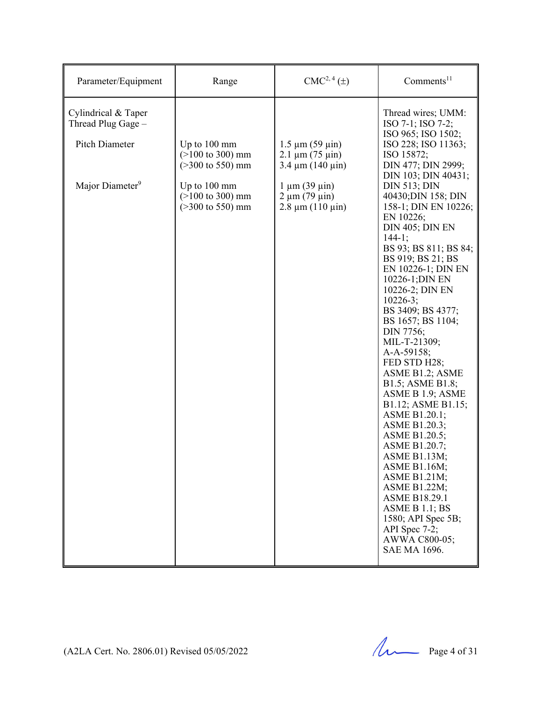| Parameter/Equipment                                         | Range                                                                                                | $CMC2, 4(\pm)$                                                              | Comments <sup>11</sup>                                                                                                                                                                                                                                                                                                                                                                                                                                                                                                                                                                                                                                                                       |
|-------------------------------------------------------------|------------------------------------------------------------------------------------------------------|-----------------------------------------------------------------------------|----------------------------------------------------------------------------------------------------------------------------------------------------------------------------------------------------------------------------------------------------------------------------------------------------------------------------------------------------------------------------------------------------------------------------------------------------------------------------------------------------------------------------------------------------------------------------------------------------------------------------------------------------------------------------------------------|
| Cylindrical & Taper<br>Thread Plug Gage -<br>Pitch Diameter | Up to $100 \text{ mm}$<br>$(>100 \text{ to } 300) \text{ mm}$<br>$(>300 \text{ to } 550) \text{ mm}$ | $1.5 \mu m (59 \mu m)$<br>$2.1 \mu m (75 \mu m)$<br>$3.4 \mu m (140 \mu m)$ | Thread wires; UMM:<br>ISO 7-1; ISO 7-2;<br>ISO 965; ISO 1502;<br>ISO 228; ISO 11363;<br>ISO 15872;<br>DIN 477; DIN 2999;<br>DIN 103; DIN 40431;                                                                                                                                                                                                                                                                                                                                                                                                                                                                                                                                              |
| Major Diameter <sup>9</sup>                                 | Up to 100 mm<br>$($ >100 to 300) mm<br>$($ >300 to 550) mm                                           | $1 \mu m$ (39 $\mu$ in)<br>$2 \mu m (79 \mu m)$<br>$2.8 \mu m (110 \mu m)$  | <b>DIN 513; DIN</b><br>40430; DIN 158; DIN<br>158-1; DIN EN 10226;<br>EN 10226;<br>DIN 405; DIN EN<br>$144-1;$<br>BS 93; BS 811; BS 84;<br>BS 919; BS 21; BS<br>EN 10226-1; DIN EN<br>10226-1; DIN EN<br>10226-2; DIN EN<br>$10226 - 3$ ;<br>BS 3409; BS 4377;<br>BS 1657; BS 1104;<br>DIN 7756;<br>MIL-T-21309;<br>A-A-59158;<br>FED STD H28;<br>ASME B1.2; ASME<br>B1.5; ASME B1.8;<br>ASME B 1.9; ASME<br>B1.12; ASME B1.15;<br>ASME B1.20.1;<br>ASME B1.20.3;<br>ASME B1.20.5;<br>ASME B1.20.7;<br>ASME B1.13M;<br>ASME B1.16M;<br><b>ASME B1.21M;</b><br>ASME B1.22M;<br><b>ASME B18.29.1</b><br>ASME B 1.1; BS<br>1580; API Spec 5B;<br>API Spec 7-2;<br>AWWA C800-05;<br>SAE MA 1696. |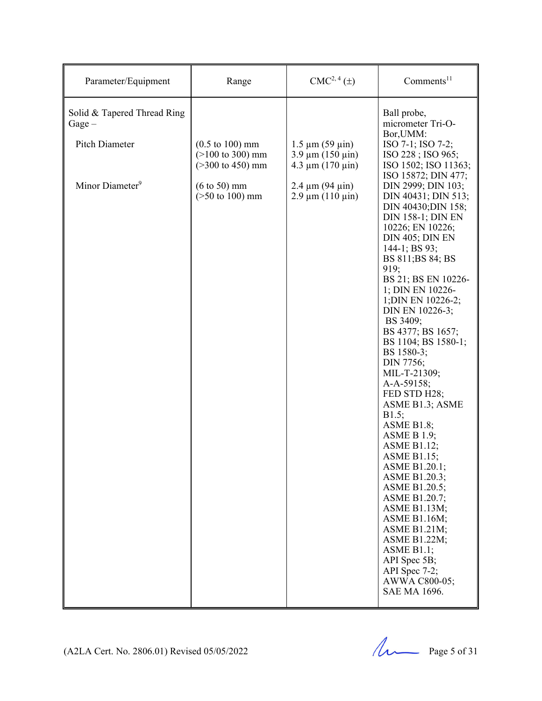| Parameter/Equipment                                       | Range                                                                                            | CMC <sup>2, 4</sup> (±)                                                      | Comments <sup>11</sup>                                                                                                                                                                                                                                                                                                                                                                                                                                                                                                                                                                                                                                                                                                                       |
|-----------------------------------------------------------|--------------------------------------------------------------------------------------------------|------------------------------------------------------------------------------|----------------------------------------------------------------------------------------------------------------------------------------------------------------------------------------------------------------------------------------------------------------------------------------------------------------------------------------------------------------------------------------------------------------------------------------------------------------------------------------------------------------------------------------------------------------------------------------------------------------------------------------------------------------------------------------------------------------------------------------------|
| Solid & Tapered Thread Ring<br>$Gage -$<br>Pitch Diameter | $(0.5 \text{ to } 100) \text{ mm}$<br>$(>100 \text{ to } 300) \text{ mm}$<br>$($ >300 to 450) mm | $1.5 \mu m (59 \mu m)$<br>$3.9 \mu m (150 \mu m)$<br>$4.3 \mu m (170 \mu m)$ | Ball probe,<br>micrometer Tri-O-<br>Bor, UMM:<br>ISO 7-1; ISO 7-2;<br>ISO 228; ISO 965;<br>ISO 1502; ISO 11363;<br>ISO 15872; DIN 477;                                                                                                                                                                                                                                                                                                                                                                                                                                                                                                                                                                                                       |
| Minor Diameter <sup>9</sup>                               | $(6 \text{ to } 50) \text{ mm}$<br>$($ >50 to 100) mm                                            | $2.4 \mu m (94 \mu m)$<br>$2.9 \mu m (110 \mu m)$                            | DIN 2999; DIN 103;<br>DIN 40431; DIN 513;<br>DIN 40430; DIN 158;<br><b>DIN 158-1; DIN EN</b><br>10226; EN 10226;<br>DIN 405; DIN EN<br>144-1; BS 93;<br>BS 811;BS 84; BS<br>919;<br>BS 21; BS EN 10226-<br>1; DIN EN 10226-<br>1; DIN EN 10226-2;<br>DIN EN 10226-3;<br>BS 3409;<br>BS 4377; BS 1657;<br>BS 1104; BS 1580-1;<br>BS 1580-3;<br>DIN 7756;<br>MIL-T-21309;<br>A-A-59158;<br>FED STD H28;<br>ASME B1.3; ASME<br>B1.5;<br>ASME B1.8;<br><b>ASME B 1.9;</b><br><b>ASME B1.12;</b><br><b>ASME B1.15;</b><br>ASME B1.20.1;<br>ASME B1.20.3;<br>ASME B1.20.5;<br><b>ASME B1.20.7;</b><br>ASME B1.13M;<br>ASME B1.16M;<br>ASME B1.21M;<br>ASME B1.22M;<br>ASME B1.1;<br>API Spec 5B;<br>API Spec 7-2;<br>AWWA C800-05;<br>SAE MA 1696. |

(A2LA Cert. No. 2806.01) Revised  $05/05/2022$  Page 5 of 31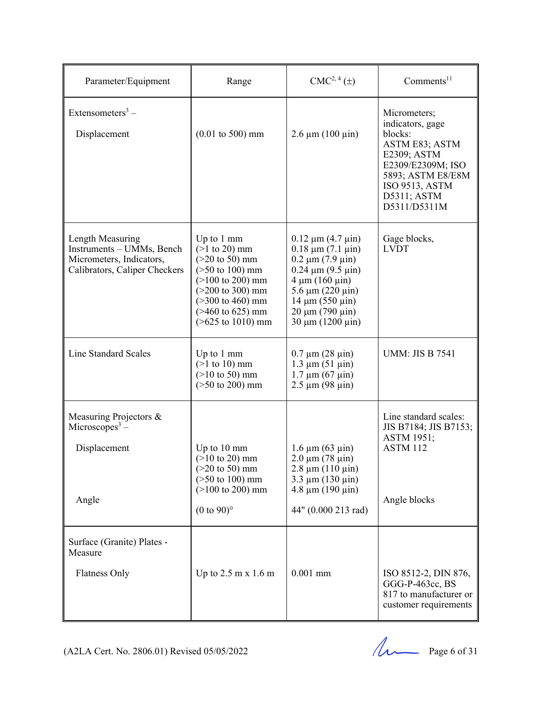| Parameter/Equipment                                                                                        | Range                                                                                                                                                                                                                                                         | CMC <sup>2, 4</sup> (±)                                                                                                                                                                                                                        | Comments <sup>11</sup>                                                                                                                                                         |
|------------------------------------------------------------------------------------------------------------|---------------------------------------------------------------------------------------------------------------------------------------------------------------------------------------------------------------------------------------------------------------|------------------------------------------------------------------------------------------------------------------------------------------------------------------------------------------------------------------------------------------------|--------------------------------------------------------------------------------------------------------------------------------------------------------------------------------|
| Extensometers <sup>3</sup> –<br>Displacement                                                               | $(0.01 \text{ to } 500) \text{ mm}$                                                                                                                                                                                                                           | $2.6 \mu m (100 \mu m)$                                                                                                                                                                                                                        | Micrometers;<br>indicators, gage<br>blocks:<br><b>ASTM E83; ASTM</b><br>E2309; ASTM<br>E2309/E2309M; ISO<br>5893; ASTM E8/E8M<br>ISO 9513, ASTM<br>D5311; ASTM<br>D5311/D5311M |
| Length Measuring<br>Instruments - UMMs, Bench<br>Micrometers, Indicators,<br>Calibrators, Caliper Checkers | Up to 1 mm<br>$(>1 \text{ to } 20) \text{ mm}$<br>$(>20 \text{ to } 50) \text{ mm}$<br>$($ >50 to 100) mm<br>$(>100 \text{ to } 200) \text{ mm}$<br>$(>200 \text{ to } 300) \text{ mm}$<br>$($ >300 to 460) mm<br>$($ >460 to 625) mm<br>$($ >625 to 1010) mm | $0.12 \mu m (4.7 \mu m)$<br>$0.18 \mu m (7.1 \mu m)$<br>$0.2 \mu m (7.9 \mu m)$<br>$0.24 \mu m (9.5 \mu m)$<br>$4 \mu m (160 \mu m)$<br>$5.6 \mu m (220 \mu m)$<br>$14 \mu m (550 \mu m)$<br>$20 \mu m (790 \mu m)$<br>$30 \mu m (1200 \mu m)$ | Gage blocks,<br><b>LVDT</b>                                                                                                                                                    |
| Line Standard Scales                                                                                       | Up to 1 mm<br>$(>1$ to 10) mm<br>$(>10 \text{ to } 50) \text{ mm}$<br>$($ >50 to 200) mm                                                                                                                                                                      | $0.7 \mu m (28 \mu m)$<br>$1.3 \mu m (51 \mu m)$<br>$1.7 \mu m (67 \mu m)$<br>$2.5 \mu m (98 \mu m)$                                                                                                                                           | <b>UMM: JIS B 7541</b>                                                                                                                                                         |
| Measuring Projectors &<br>Microscopes <sup>3</sup> –<br>Displacement<br>Angle                              | Up to 10 mm<br>$(>10 \text{ to } 20) \text{ mm}$<br>$(>20 \text{ to } 50) \text{ mm}$<br>$($ >50 to 100) mm<br>$(>100 \text{ to } 200) \text{ mm}$<br>$(0 \text{ to } 90)$ °                                                                                  | $1.6 \mu m (63 \mu m)$<br>$2.0 \mu m (78 \mu m)$<br>$2.8 \mu m (110 \mu m)$<br>$3.3 \mu m (130 \mu m)$<br>$4.8 \mu m (190 \mu m)$<br>44" (0.000 213 rad)                                                                                       | Line standard scales:<br>JIS B7184; JIS B7153;<br><b>ASTM 1951;</b><br>ASTM 112<br>Angle blocks                                                                                |
| Surface (Granite) Plates -<br>Measure<br>Flatness Only                                                     | Up to $2.5 \text{ m} \times 1.6 \text{ m}$                                                                                                                                                                                                                    | $0.001$ mm                                                                                                                                                                                                                                     | ISO 8512-2, DIN 876,<br>GGG-P-463cc, BS<br>817 to manufacturer or<br>customer requirements                                                                                     |

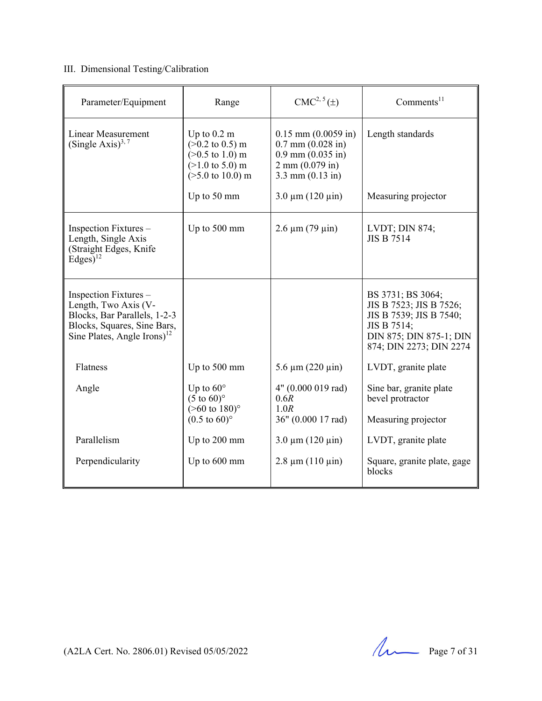#### III. Dimensional Testing/Calibration

| Parameter/Equipment                                                                                                                                     | Range                                                                                                                                                                         | $CMC2, 5(\pm)$                                                                                                                                                     | Comments <sup>11</sup>                                                                                                                       |
|---------------------------------------------------------------------------------------------------------------------------------------------------------|-------------------------------------------------------------------------------------------------------------------------------------------------------------------------------|--------------------------------------------------------------------------------------------------------------------------------------------------------------------|----------------------------------------------------------------------------------------------------------------------------------------------|
| <b>Linear Measurement</b><br>(Single Axis) <sup>3, 7</sup>                                                                                              | Up to $0.2 \text{ m}$<br>$(>0.2 \text{ to } 0.5) \text{ m}$<br>$(>0.5 \text{ to } 1.0) \text{ m}$<br>$(>1.0 \text{ to } 5.0) \text{ m}$<br>$($ >5.0 to 10.0) m<br>Up to 50 mm | $0.15$ mm $(0.0059$ in)<br>$0.7$ mm $(0.028$ in)<br>$0.9$ mm $(0.035$ in)<br>$2 \text{ mm } (0.079 \text{ in})$<br>$3.3$ mm $(0.13$ in)<br>$3.0 \mu m (120 \mu m)$ | Length standards<br>Measuring projector                                                                                                      |
| Inspection Fixtures –<br>Length, Single Axis<br>(Straight Edges, Knife<br>$Edges)^{12}$                                                                 | Up to 500 mm                                                                                                                                                                  | $2.6 \mu m (79 \mu m)$                                                                                                                                             | <b>LVDT</b> ; DIN 874;<br><b>JIS B 7514</b>                                                                                                  |
| Inspection Fixtures –<br>Length, Two Axis (V-<br>Blocks, Bar Parallels, 1-2-3<br>Blocks, Squares, Sine Bars,<br>Sine Plates, Angle Irons) <sup>12</sup> |                                                                                                                                                                               |                                                                                                                                                                    | BS 3731; BS 3064;<br>JIS B 7523; JIS B 7526;<br>JIS B 7539; JIS B 7540;<br>JIS B 7514;<br>DIN 875; DIN 875-1; DIN<br>874; DIN 2273; DIN 2274 |
| Flatness                                                                                                                                                | Up to 500 mm                                                                                                                                                                  | $5.6 \mu m (220 \mu m)$                                                                                                                                            | LVDT, granite plate                                                                                                                          |
| Angle                                                                                                                                                   | Up to $60^\circ$<br>$(5 \text{ to } 60)$ °<br>$($ >60 to 180) $^{\circ}$<br>$(0.5 \text{ to } 60)$ °                                                                          | 4" (0.000 019 rad)<br>0.6R<br>1.0R<br>36" (0.000 17 rad)                                                                                                           | Sine bar, granite plate<br>bevel protractor<br>Measuring projector                                                                           |
| Parallelism                                                                                                                                             | Up to 200 mm                                                                                                                                                                  | $3.0 \mu m (120 \mu m)$                                                                                                                                            | LVDT, granite plate                                                                                                                          |
| Perpendicularity                                                                                                                                        | Up to 600 mm                                                                                                                                                                  | $2.8 \mu m (110 \mu m)$                                                                                                                                            | Square, granite plate, gage<br>blocks                                                                                                        |

(A2LA Cert. No. 2806.01) Revised 05/05/2022 Page 7 of 31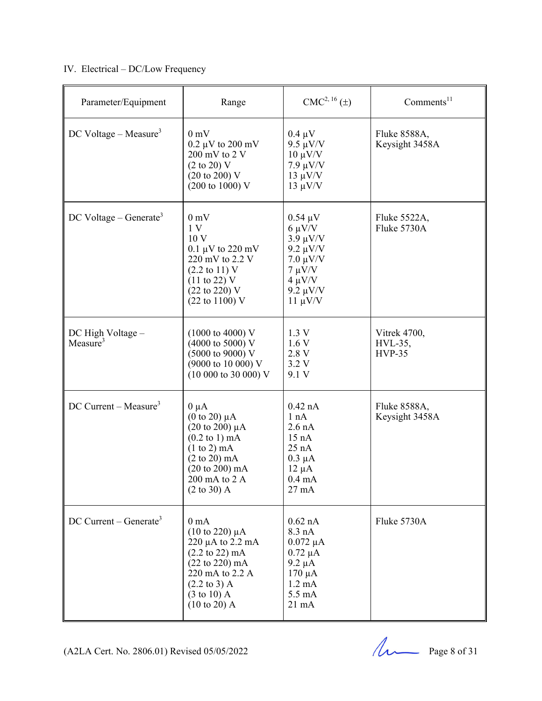#### IV. Electrical – DC/Low Frequency

| Parameter/Equipment                  | Range                                                                                                                                                                                                                                                      | $CMC2, 16(\pm)$                                                                                                                               | Comments <sup>11</sup>              |
|--------------------------------------|------------------------------------------------------------------------------------------------------------------------------------------------------------------------------------------------------------------------------------------------------------|-----------------------------------------------------------------------------------------------------------------------------------------------|-------------------------------------|
| DC Voltage – Measure <sup>3</sup>    | 0 <sub>m</sub><br>$0.2 \mu V$ to $200 \text{ mV}$<br>$200 \text{ mV}$ to $2 \text{V}$<br>$(2 \text{ to } 20)$ V<br>$(20 \text{ to } 200) \text{ V}$<br>$(200 \text{ to } 1000) \text{ V}$                                                                  | $0.4 \mu V$<br>$9.5 \mu V/V$<br>$10 \mu V/V$<br>$7.9 \mu V/V$<br>$13 \mu V/V$<br>$13 \mu V/V$                                                 | Fluke 8588A,<br>Keysight 3458A      |
| $DC$ Voltage – Generate <sup>3</sup> | 0 <sub>m</sub><br>1 <sub>V</sub><br>10 V<br>0.1 $\mu$ V to 220 mV<br>220 mV to 2.2 V<br>$(2.2 \text{ to } 11)$ V<br>$(11 \text{ to } 22)$ V<br>$(22 \text{ to } 220)$ V<br>$(22 \text{ to } 1100)$ V                                                       | $0.54 \mu V$<br>$6 \mu V/V$<br>$3.9 \mu V/V$<br>$9.2 \mu V/V$<br>$7.0 \mu V/V$<br>$7 \mu V/V$<br>$4 \mu V/V$<br>$9.2 \mu V/V$<br>$11 \mu V/V$ | Fluke 5522A,<br>Fluke 5730A         |
| DC High Voltage -<br>Measure $3$     | $(1000 \text{ to } 4000) \text{ V}$<br>(4000 to 5000) V<br>(5000 to 9000) V<br>(9000 to 10 000) V<br>$(10\ 000\ to\ 30\ 000)$ V                                                                                                                            | 1.3 V<br>1.6V<br>2.8 V<br>3.2 V<br>9.1 V                                                                                                      | Vitrek 4700,<br>HVL-35,<br>$HVP-35$ |
| $DC$ Current – Measure <sup>3</sup>  | $0 \mu A$<br>$(0 \text{ to } 20) \mu\text{A}$<br>$(20 \text{ to } 200) \mu A$<br>$(0.2 \text{ to } 1) \text{ mA}$<br>(1 to 2) mA<br>$(2 \text{ to } 20) \text{ mA}$<br>$(20 \text{ to } 200) \text{ mA}$<br>200 mA to 2 A<br>(2 to 30) A                   | $0.42$ nA<br>1 nA<br>$2.6$ nA<br>15 nA<br>25 nA<br>$0.3 \mu A$<br>$12 \mu A$<br>$0.4 \text{ mA}$<br>$27 \text{ mA}$                           | Fluke 8588A,<br>Keysight 3458A      |
| $DC$ Current – Generate <sup>3</sup> | 0 <sub>mA</sub><br>$(10 \text{ to } 220) \mu A$<br>$220 \mu A$ to $2.2 \mu A$<br>$(2.2 \text{ to } 22) \text{ mA}$<br>$(22 \text{ to } 220) \text{ mA}$<br>220 mA to 2.2 A<br>$(2.2 \text{ to } 3)$ A<br>$(3 \text{ to } 10)$ A<br>$(10 \text{ to } 20)$ A | $0.62$ nA<br>$8.3 \text{ nA}$<br>$0.072 \mu A$<br>$0.72 \mu A$<br>$9.2 \mu A$<br>$170 \mu A$<br>$1.2 \text{ mA}$<br>5.5 mA<br>$21 \text{ mA}$ | Fluke 5730A                         |

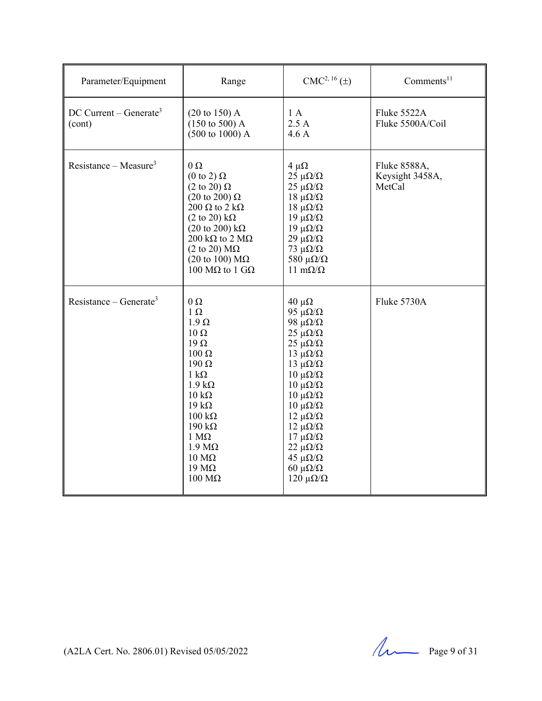| Parameter/Equipment                            | Range                                                                                                                                                                                                                                                                                                                                                        | $CMC2, 16(\pm)$                                                                                                                                                                                                                                                                                                                                                                         | Comments $11$                             |
|------------------------------------------------|--------------------------------------------------------------------------------------------------------------------------------------------------------------------------------------------------------------------------------------------------------------------------------------------------------------------------------------------------------------|-----------------------------------------------------------------------------------------------------------------------------------------------------------------------------------------------------------------------------------------------------------------------------------------------------------------------------------------------------------------------------------------|-------------------------------------------|
| $DC$ Current – Generate <sup>3</sup><br>(cont) | $(20 \text{ to } 150)$ A<br>$(150 \text{ to } 500)$ A<br>$(500 \text{ to } 1000)$ A                                                                                                                                                                                                                                                                          | 1A<br>2.5A<br>4.6A                                                                                                                                                                                                                                                                                                                                                                      | Fluke 5522A<br>Fluke 5500A/Coil           |
| Resistance – Measure <sup>3</sup>              | $0\Omega$<br>$(0 \text{ to } 2) \Omega$<br>$(2 \text{ to } 20) \Omega$<br>$(20 \text{ to } 200) \Omega$<br>200 $\Omega$ to 2 k $\Omega$<br>$(2 \text{ to } 20) \text{ k}\Omega$<br>$(20 \text{ to } 200) \text{ k}\Omega$<br>$200 \text{ k}\Omega$ to $2 \text{ M}\Omega$<br>$(2 \text{ to } 20) \text{ M}\Omega$<br>(20 to 100) $M\Omega$<br>100 MΩ to 1 GΩ | $4 \mu\Omega$<br>$25 \mu\Omega/\Omega$<br>$25 \mu\Omega/\Omega$<br>$18$ μΩ/Ω<br>$18 \mu\Omega/\Omega$<br>19 μ $\Omega/\Omega$<br>$19 \muΩ/Ω$<br>$29 \mu\Omega/\Omega$<br>73 $\mu\Omega/\Omega$<br>580 $\mu\Omega/\Omega$<br>11 m $\Omega/\Omega$                                                                                                                                        | Fluke 8588A,<br>Keysight 3458A,<br>MetCal |
| Resistance – Generate <sup>3</sup>             | $0\Omega$<br>$1 \Omega$<br>$1.9 \Omega$<br>$10 \Omega$<br>$19 \Omega$<br>$100 \Omega$<br>$190 \Omega$<br>$1 \text{ k}\Omega$<br>$1.9 k\Omega$<br>$10 \text{ k}\Omega$<br>$19 k\Omega$<br>$100 \text{ k}\Omega$<br>$190 \text{ k}\Omega$<br>$1 M\Omega$<br>$1.9 M\Omega$<br>$10 \text{ M}\Omega$<br>$19 \text{ M}\Omega$<br>$100 \text{ M}\Omega$             | $40 \mu\Omega$<br>95 $\mu\Omega/\Omega$<br>98 μ $\Omega/\Omega$<br>$25 \mu\Omega/\Omega$<br>$25 \mu\Omega/\Omega$<br>13 μ $\Omega/\Omega$<br>13 μ $\Omega/\Omega$<br>$10$ μΩ/Ω<br>$10 \muΩ/Ω$<br>$10 \muΩ/Ω$<br>$10 \muΩ/Ω$<br>$12 \muΩ/Ω$<br>$12 \mu\Omega/\Omega$<br>$17 \mu\Omega/\Omega$<br>$22 \mu\Omega/\Omega$<br>$45 \mu\Omega/\Omega$<br>60 $\mu\Omega/\Omega$<br>$120 \muΩ/Ω$ | Fluke 5730A                               |

(A2LA Cert. No. 2806.01) Revised  $05/05/2022$  Page 9 of 31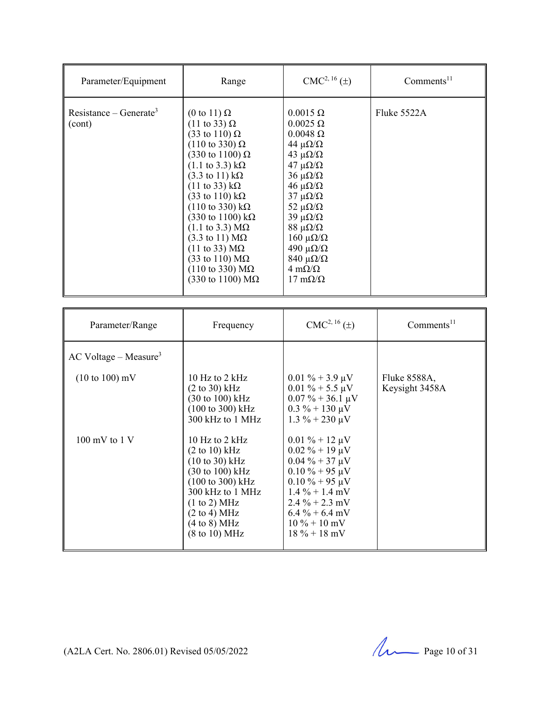| Parameter/Equipment                 | Range                                                                                                                                                                                                                                                                                                                                                                                                                                                                                                                                                                                                                                                           | $CMC2, 16(\pm)$                                                                                                                                                                                                                                                                                                                                                                                              | Comments <sup>11</sup> |
|-------------------------------------|-----------------------------------------------------------------------------------------------------------------------------------------------------------------------------------------------------------------------------------------------------------------------------------------------------------------------------------------------------------------------------------------------------------------------------------------------------------------------------------------------------------------------------------------------------------------------------------------------------------------------------------------------------------------|--------------------------------------------------------------------------------------------------------------------------------------------------------------------------------------------------------------------------------------------------------------------------------------------------------------------------------------------------------------------------------------------------------------|------------------------|
| $Resistance - Generate^3$<br>(cont) | $(0 \text{ to } 11) \Omega$<br>$(11 \text{ to } 33) \Omega$<br>$(33 \text{ to } 110) \Omega$<br>$(110 \text{ to } 330) \Omega$<br>$(330 \text{ to } 1100) \Omega$<br>$(1.1 \text{ to } 3.3) \text{ k}\Omega$<br>$(3.3 \text{ to } 11) \text{ k}\Omega$<br>$(11 \text{ to } 33) \text{ k}\Omega$<br>$(33 \text{ to } 110) \text{ k}\Omega$<br>$(110 \text{ to } 330) \text{ k}\Omega$<br>$(330 \text{ to } 1100) \text{ kΩ}$<br>$(1.1 \text{ to } 3.3) \text{ M}\Omega$<br>$(3.3 \text{ to } 11) \text{ M}\Omega$<br>$(11 \text{ to } 33) \text{ M}\Omega$<br>$(33 \text{ to } 110) \text{ M}\Omega$<br>$(110 \text{ to } 330) \text{ MΩ}$<br>(330 to 1100) $MΩ$ | $0.0015 \Omega$<br>$0.0025 \Omega$<br>$0.0048 \Omega$<br>44 $\mu\Omega/\Omega$<br>43 $\mu\Omega/\Omega$<br>$47 \mu\Omega/\Omega$<br>$36 \mu\Omega/\Omega$<br>$46 \mu\Omega/\Omega$<br>$37 \mu\Omega/\Omega$<br>52 $\mu\Omega/\Omega$<br>$39 \mu\Omega/\Omega$<br>$88 \mu\Omega/\Omega$<br>$160 \muΩ/Ω$<br>490 μ $\Omega/\Omega$<br>$840 \muΩ/Ω$<br>$4 \text{ m}\Omega/\Omega$<br>$17 \text{ m}\Omega/\Omega$ | Fluke $5522A$          |

| Parameter/Range                     | Frequency                                                                                                                                                                                                                                                                                         | $CMC2, 16(\pm)$                                                                                                                                                                                                             | $Comments^{11}$                |
|-------------------------------------|---------------------------------------------------------------------------------------------------------------------------------------------------------------------------------------------------------------------------------------------------------------------------------------------------|-----------------------------------------------------------------------------------------------------------------------------------------------------------------------------------------------------------------------------|--------------------------------|
| $AC$ Voltage – Measure <sup>3</sup> |                                                                                                                                                                                                                                                                                                   |                                                                                                                                                                                                                             |                                |
| $(10 \text{ to } 100) \text{ mV}$   | 10 Hz to $2$ kHz<br>$(2 \text{ to } 30) \text{ kHz}$<br>$(30 \text{ to } 100) \text{ kHz}$<br>$(100 \text{ to } 300) \text{ kHz}$<br>300 kHz to 1 MHz                                                                                                                                             | $0.01\% + 3.9 \mu V$<br>$0.01\% + 5.5 \,\mu\text{V}$<br>$0.07\% + 36.1 \,\mu\text{V}$<br>$0.3\% + 130 \,\mu\text{V}$<br>$1.3\% + 230 \,\mu\text{V}$                                                                         | Fluke 8588A,<br>Keysight 3458A |
| $100 \text{ mV}$ to $1 \text{V}$    | 10 Hz to $2$ kHz<br>$(2 \text{ to } 10) \text{ kHz}$<br>$(10 \text{ to } 30) \text{ kHz}$<br>$(30 \text{ to } 100) \text{ kHz}$<br>(100 to 300) kHz<br>300 kHz to 1 MHz<br>(1 to 2) MHz<br>$(2 \text{ to } 4) \text{ MHz}$<br>$(4 \text{ to } 8) \text{ MHz}$<br>$(8 \text{ to } 10) \text{ MHz}$ | $0.01\% + 12 \mu V$<br>$0.02\% + 19 \mu V$<br>$0.04\% + 37 \mu V$<br>$0.10 \% + 95 \mu V$<br>$0.10\% + 95 \mu V$<br>$1.4\% + 1.4$ mV<br>$2.4\% + 2.3$ mV<br>$6.4\% + 6.4$ mV<br>$10\% + 10\,\mathrm{mV}$<br>$18\% + 18\ mV$ |                                |

(A2LA Cert. No. 2806.01) Revised 05/05/2022 Page 10 of 31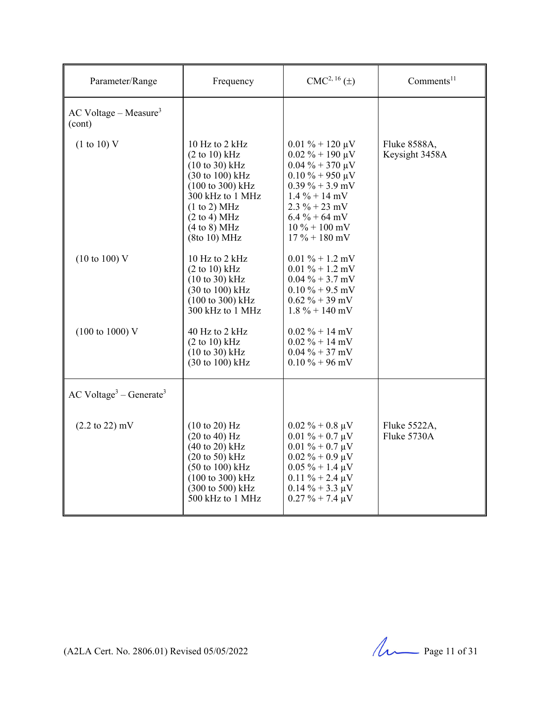| Parameter/Range                               | Frequency                                                                                                                                                                                          | $CMC2, 16(\pm)$                                                                                                                                                                                                                      | Comments <sup>11</sup>         |
|-----------------------------------------------|----------------------------------------------------------------------------------------------------------------------------------------------------------------------------------------------------|--------------------------------------------------------------------------------------------------------------------------------------------------------------------------------------------------------------------------------------|--------------------------------|
| $AC$ Voltage – Measure <sup>3</sup><br>(cont) |                                                                                                                                                                                                    |                                                                                                                                                                                                                                      |                                |
| (1 to 10) V                                   | 10 Hz to 2 kHz<br>(2 to 10) kHz<br>$(10 to 30)$ kHz<br>$(30 \text{ to } 100) \text{ kHz}$<br>(100 to 300) kHz<br>300 kHz to 1 MHz<br>(1 to 2) MHz<br>(2 to 4) MHz<br>(4 to 8) MHz<br>(8to 10) MHz  | $0.01\% + 120 \,\mu\text{V}$<br>$0.02\% + 190 \mu V$<br>$0.04\% + 370 \mu V$<br>$0.10\% + 950 \mu V$<br>$0.39\% + 3.9$ mV<br>$1.4\% + 14$ mV<br>$2.3 \% + 23 mV$<br>$6.4\% + 64$ mV<br>$10\% + 100\,\mathrm{mV}$<br>$17 \% + 180$ mV | Fluke 8588A,<br>Keysight 3458A |
| $(10 \text{ to } 100)$ V                      | 10 Hz to 2 kHz<br>$(2 \text{ to } 10) \text{ kHz}$<br>$(10 to 30)$ kHz<br>$(30 \text{ to } 100) \text{ kHz}$<br>(100 to 300) kHz<br>300 kHz to 1 MHz                                               | $0.01\% + 1.2$ mV<br>$0.01\% + 1.2$ mV<br>$0.04\% + 3.7$ mV<br>$0.10\% + 9.5$ mV<br>$0.62 \% + 39$ mV<br>$1.8\% + 140$ mV                                                                                                            |                                |
| $(100 \text{ to } 1000) \text{ V}$            | 40 Hz to 2 kHz<br>(2 to 10) kHz<br>$(10 to 30)$ kHz<br>$(30 \text{ to } 100) \text{ kHz}$                                                                                                          | $0.02 \% + 14$ mV<br>$0.02 \% + 14 mV$<br>$0.04\% + 37$ mV<br>$0.10\% + 96$ mV                                                                                                                                                       |                                |
| $AC Voltage3 - Generate3$                     |                                                                                                                                                                                                    |                                                                                                                                                                                                                                      |                                |
| $(2.2 \text{ to } 22) \text{ mV}$             | (10 to 20) Hz<br>(20 to 40) Hz<br>$(40 \text{ to } 20) \text{ kHz}$<br>$(20 \text{ to } 50)$ kHz<br>$(50 \text{ to } 100) \text{ kHz}$<br>(100 to 300) kHz<br>(300 to 500) kHz<br>500 kHz to 1 MHz | $0.02\% + 0.8 \,\mu\text{V}$<br>$0.01\% + 0.7 \mu V$<br>$0.01\% + 0.7 \mu V$<br>$0.02\% + 0.9 \mu V$<br>$0.05 \% + 1.4 \mu V$<br>$0.11 \% + 2.4 \mu V$<br>$0.14\% + 3.3 \mu V$<br>$0.27 \% + 7.4 \mu V$                              | Fluke 5522A,<br>Fluke 5730A    |

(A2LA Cert. No. 2806.01) Revised 05/05/2022 Page 11 of 31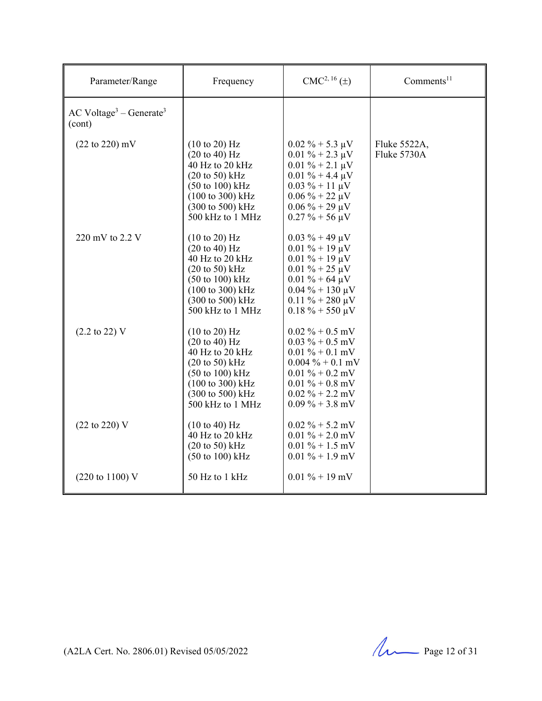| Parameter/Range                     | Frequency                                                                                                                                                                                                                                            | $CMC2, 16(\pm)$                                                                                                                                                                                       | Comments $11$               |
|-------------------------------------|------------------------------------------------------------------------------------------------------------------------------------------------------------------------------------------------------------------------------------------------------|-------------------------------------------------------------------------------------------------------------------------------------------------------------------------------------------------------|-----------------------------|
| $AC Voltage3 – Generate3$<br>(cont) |                                                                                                                                                                                                                                                      |                                                                                                                                                                                                       |                             |
| $(22 \text{ to } 220) \text{ mV}$   | $(10 \text{ to } 20)$ Hz<br>$(20 \text{ to } 40)$ Hz<br>40 Hz to 20 kHz<br>$(20 \text{ to } 50)$ kHz<br>$(50 \text{ to } 100) \text{ kHz}$<br>$(100 \text{ to } 300) \text{ kHz}$<br>$(300 \text{ to } 500) \text{ kHz}$<br>500 kHz to 1 MHz         | $0.02\% + 5.3 \mu V$<br>$0.01 \% + 2.3 \mu V$<br>$0.01 \% + 2.1 \mu V$<br>$0.01 \% + 4.4 \mu V$<br>$0.03 \% + 11 \mu V$<br>$0.06\% + 22 \mu V$<br>$0.06\% + 29 \mu V$<br>$0.27 \% + 56 \mu V$         | Fluke 5522A,<br>Fluke 5730A |
| 220 mV to 2.2 V                     | $(10 \text{ to } 20)$ Hz<br>$(20 \text{ to } 40) \text{ Hz}$<br>40 Hz to 20 kHz<br>$(20 \text{ to } 50)$ kHz<br>$(50 \text{ to } 100) \text{ kHz}$<br>$(100 \text{ to } 300) \text{ kHz}$<br>$(300 \text{ to } 500) \text{ kHz}$<br>500 kHz to 1 MHz | $0.03 \% + 49 \mu V$<br>$0.01 \% + 19 \mu V$<br>$0.01\% + 19 \mu V$<br>$0.01 \% + 25 \mu V$<br>$0.01 \% + 64 \mu V$<br>$0.04\% + 130 \,\mu\text{V}$<br>$0.11 \% + 280 \mu V$<br>$0.18 \% + 550 \mu V$ |                             |
| $(2.2 \text{ to } 22) \text{ V}$    | (10 to 20) Hz<br>$(20 \text{ to } 40) \text{ Hz}$<br>40 Hz to 20 kHz<br>$(20 \text{ to } 50)$ kHz<br>$(50 \text{ to } 100) \text{ kHz}$<br>$(100 \text{ to } 300) \text{ kHz}$<br>$(300 \text{ to } 500) \text{ kHz}$<br>500 kHz to 1 MHz            | $0.02\% + 0.5$ mV<br>$0.03\% + 0.5$ mV<br>$0.01\% + 0.1$ mV<br>$0.004\% + 0.1$ mV<br>$0.01\% + 0.2$ mV<br>$0.01\% + 0.8$ mV<br>$0.02\% + 2.2\,\text{mV}$<br>$0.09\% + 3.8$ mV                         |                             |
| $(22 \text{ to } 220)$ V            | (10 to 40) Hz<br>$40$ Hz to $20$ kHz<br>$(20 \text{ to } 50)$ kHz<br>$(50 \text{ to } 100) \text{ kHz}$                                                                                                                                              | $0.02\% + 5.2$ mV<br>$0.01\% + 2.0$ mV<br>$0.01\% + 1.5$ mV<br>$0.01\% + 1.9$ mV                                                                                                                      |                             |
| $(220 \text{ to } 1100) \text{ V}$  | 50 Hz to 1 kHz                                                                                                                                                                                                                                       | $0.01\% + 19$ mV                                                                                                                                                                                      |                             |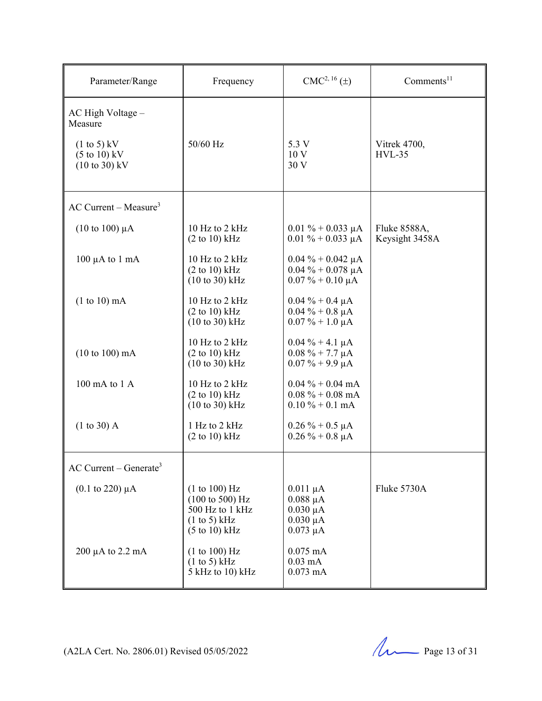| Parameter/Range                                                                                                               | Frequency                                                                                                                  | $CMC2, 16(\pm)$                                                                   | Comments $11$                  |
|-------------------------------------------------------------------------------------------------------------------------------|----------------------------------------------------------------------------------------------------------------------------|-----------------------------------------------------------------------------------|--------------------------------|
| AC High Voltage -<br>Measure<br>$(1 \text{ to } 5)$ kV<br>$(5 \text{ to } 10) \text{ kV}$<br>$(10 \text{ to } 30) \text{ kV}$ | 50/60 Hz                                                                                                                   | 5.3 V<br>10 <sub>V</sub><br>30V                                                   | Vitrek 4700,<br>$HVL-35$       |
| $AC$ Current – Measure <sup>3</sup>                                                                                           |                                                                                                                            |                                                                                   |                                |
| $(10 \text{ to } 100) \mu\text{A}$                                                                                            | 10 Hz to 2 kHz<br>(2 to 10) kHz                                                                                            | $0.01\% + 0.033 \mu A$<br>$0.01\% + 0.033 \mu A$                                  | Fluke 8588A,<br>Keysight 3458A |
| $100 \mu A$ to $1 \text{ mA}$                                                                                                 | 10 Hz to 2 kHz<br>(2 to 10) kHz<br>$(10 to 30)$ kHz                                                                        | $0.04\% + 0.042 \mu A$<br>$0.04\% + 0.078\ \mu A$<br>$0.07\% + 0.10 \mu A$        |                                |
| $(1 to 10)$ mA                                                                                                                | 10 Hz to 2 kHz<br>(2 to 10) kHz<br>$(10 to 30)$ kHz                                                                        | $0.04\% + 0.4 \mu A$<br>$0.04 \% + 0.8 \mu A$<br>$0.07\% + 1.0 \mu A$             |                                |
| $(10 \text{ to } 100) \text{ mA}$                                                                                             | 10 Hz to 2 kHz<br>$(2 to 10)$ kHz<br>$(10 \text{ to } 30) \text{ kHz}$                                                     | $0.04\% + 4.1 \mu A$<br>$0.08\% + 7.7 \mu A$<br>$0.07\% + 9.9 \mu A$              |                                |
| 100 mA to 1 A                                                                                                                 | 10 Hz to 2 kHz<br>$(2 \text{ to } 10) \text{ kHz}$<br>$(10 to 30)$ kHz                                                     | $0.04\% + 0.04 \text{ mA}$<br>$0.08\% + 0.08$ mA<br>$0.10\% + 0.1 \text{ mA}$     |                                |
| (1 to 30) A                                                                                                                   | 1 Hz to 2 kHz<br>(2 to 10) kHz                                                                                             | $0.26\% + 0.5 \mu A$<br>$0.26 \% + 0.8 \mu A$                                     |                                |
| $AC$ Current – Generate <sup>3</sup>                                                                                          |                                                                                                                            |                                                                                   |                                |
| $(0.1 \text{ to } 220) \mu A$                                                                                                 | (1 to 100) Hz<br>$(100 \text{ to } 500) \text{ Hz}$<br>500 Hz to 1 kHz<br>(1 to 5) kHz<br>$(5 \text{ to } 10) \text{ kHz}$ | $0.011 \mu A$<br>$0.088 \mu A$<br>$0.030 \mu A$<br>$0.030 \mu A$<br>$0.073 \mu A$ | Fluke 5730A                    |
| $200 \mu A$ to $2.2 \mu A$                                                                                                    | (1 to 100) Hz<br>(1 to 5) kHz<br>5 kHz to 10) kHz                                                                          | $0.075$ mA<br>$0.03 \text{ mA}$<br>$0.073$ mA                                     |                                |

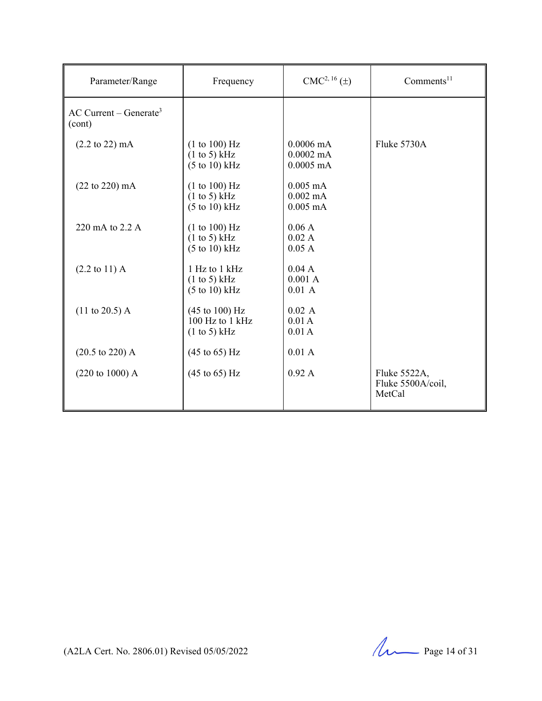| Parameter/Range                                | Frequency                                                                | $CMC2, 16(\pm)$                                           | Comments <sup>11</sup>                      |
|------------------------------------------------|--------------------------------------------------------------------------|-----------------------------------------------------------|---------------------------------------------|
| $AC$ Current – Generate <sup>3</sup><br>(cont) |                                                                          |                                                           |                                             |
| $(2.2 \text{ to } 22) \text{ mA}$              | (1 to 100) Hz<br>(1 to 5) kHz<br>$(5 \text{ to } 10) \text{ kHz}$        | $0.0006 \text{ mA}$<br>$0.0002 \text{ mA}$<br>$0.0005$ mA | Fluke 5730A                                 |
| $(22 \text{ to } 220) \text{ mA}$              | (1 to 100) Hz<br>(1 to 5) kHz<br>$(5 \text{ to } 10) \text{ kHz}$        | $0.005$ mA<br>$0.002$ mA<br>$0.005$ mA                    |                                             |
| 220 mA to 2.2 A                                | (1 to 100) Hz<br>(1 to 5) kHz<br>$(5 \text{ to } 10) \text{ kHz}$        | 0.06A<br>0.02 A<br>0.05A                                  |                                             |
| $(2.2 \text{ to } 11) \text{ A}$               | 1 Hz to 1 kHz<br>(1 to 5) kHz<br>$(5 \text{ to } 10) \text{ kHz}$        | 0.04 A<br>0.001 A<br>0.01 A                               |                                             |
| $(11 \text{ to } 20.5)$ A                      | $(45 \text{ to } 100) \text{ Hz}$<br>$100$ Hz to $1$ kHz<br>(1 to 5) kHz | 0.02 A<br>0.01A<br>0.01A                                  |                                             |
| $(20.5 \text{ to } 220)$ A                     | $(45 \text{ to } 65) \text{ Hz}$                                         | 0.01 A                                                    |                                             |
| $(220 \text{ to } 1000)$ A                     | $(45 \text{ to } 65) \text{ Hz}$                                         | 0.92A                                                     | Fluke 5522A,<br>Fluke 5500A/coil,<br>MetCal |

(A2LA Cert. No. 2806.01) Revised 05/05/2022 Page 14 of 31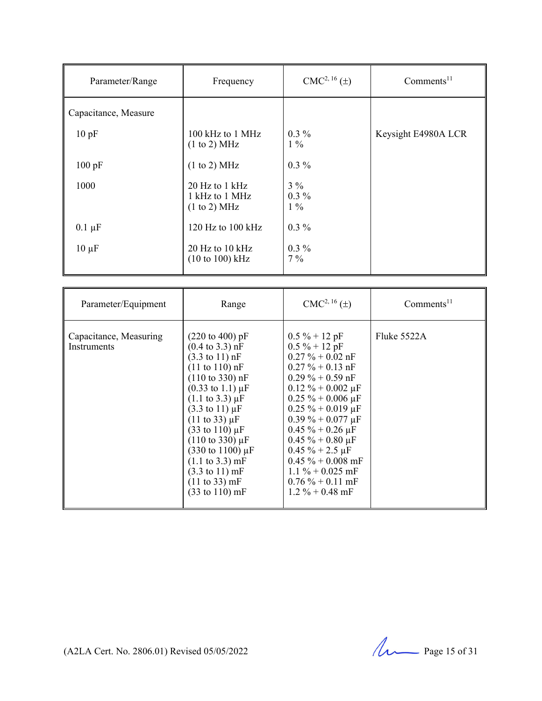| Parameter/Range      | Frequency                                          | $CMC2, 16(\pm)$           | Comments <sup>11</sup> |
|----------------------|----------------------------------------------------|---------------------------|------------------------|
| Capacitance, Measure |                                                    |                           |                        |
| 10pF                 | 100 kHz to 1 MHz<br>(1 to 2) MHz                   | $0.3\%$<br>$1\%$          | Keysight E4980A LCR    |
| 100 pF               | (1 to 2) MHz                                       | $0.3\%$                   |                        |
| 1000                 | $20$ Hz to 1 kHz<br>1 kHz to 1 MHz<br>(1 to 2) MHz | $3\%$<br>$0.3\%$<br>$1\%$ |                        |
| $0.1 \mu F$          | 120 Hz to $100$ kHz                                | $0.3\%$                   |                        |
| $10 \mu F$           | $20$ Hz to $10$ kHz<br>(10 to 100) kHz             | $0.3\%$<br>$7\%$          |                        |

| Parameter/Equipment                          | Range                                                                                                                                                                                                                                                                                                                                                                                                                                                                                                                                                                  | $CMC2, 16(\pm)$                                                                                                                                                                                                                                                                                                                                                                           | Comments <sup>11</sup> |
|----------------------------------------------|------------------------------------------------------------------------------------------------------------------------------------------------------------------------------------------------------------------------------------------------------------------------------------------------------------------------------------------------------------------------------------------------------------------------------------------------------------------------------------------------------------------------------------------------------------------------|-------------------------------------------------------------------------------------------------------------------------------------------------------------------------------------------------------------------------------------------------------------------------------------------------------------------------------------------------------------------------------------------|------------------------|
| Capacitance, Measuring<br><b>Instruments</b> | $(220 \text{ to } 400) \text{ pF}$<br>$(0.4 \text{ to } 3.3) \text{ nF}$<br>$(3.3 \text{ to } 11) \text{ nF}$<br>$(11 \text{ to } 110) \text{ nF}$<br>$(110 \text{ to } 330) \text{ nF}$<br>$(0.33 \text{ to } 1.1) \mu F$<br>$(1.1 \text{ to } 3.3) \mu F$<br>$(3.3 \text{ to } 11) \mu F$<br>$(11 \text{ to } 33) \mu F$<br>$(33 \text{ to } 110) \,\mu\text{F}$<br>$(110 \text{ to } 330) \mu F$<br>$(330 \text{ to } 1100) \mu F$<br>$(1.1 \text{ to } 3.3) \text{ mF}$<br>$(3.3 \text{ to } 11) \text{ mF}$<br>(11 to 33) mF<br>$(33 \text{ to } 110) \text{ mF}$ | $0.5\% + 12pF$<br>$0.5 \% + 12 pF$<br>$0.27 \% + 0.02$ nF<br>$0.27 \% + 0.13 nF$<br>$0.29\% + 0.59$ nF<br>$0.12 \% + 0.002 \mu F$<br>$0.25 \% + 0.006 \mu F$<br>$0.25 \% + 0.019 \mu F$<br>$0.39\% + 0.077 \,\mu F$<br>$0.45 \% + 0.26 \mu F$<br>$0.45 \% + 0.80 \mu F$<br>$0.45 \% + 2.5 \mu F$<br>$0.45 \% + 0.008$ mF<br>$1.1\% + 0.025$ mF<br>$0.76\% + 0.11$ mF<br>$1.2\% + 0.48$ mF | Fluke 5522A            |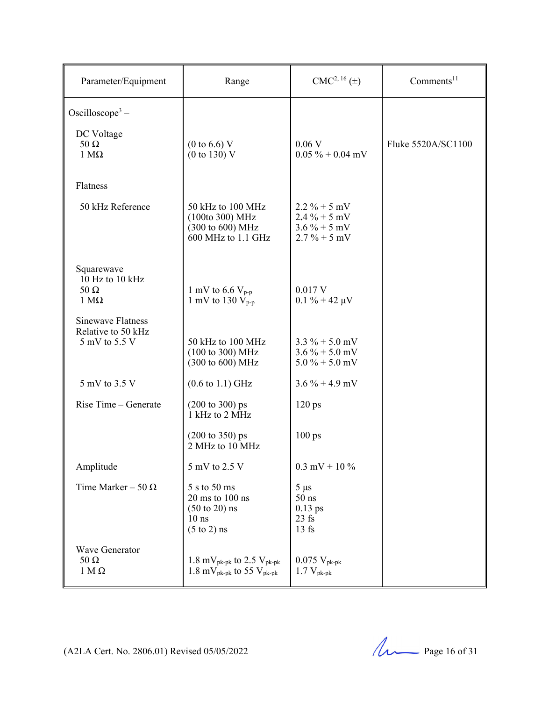| Parameter/Equipment                                             | Range                                                                                                                | $CMC2, 16(\pm)$                                                     | Comments <sup>11</sup> |
|-----------------------------------------------------------------|----------------------------------------------------------------------------------------------------------------------|---------------------------------------------------------------------|------------------------|
| Oscilloscope <sup>3</sup> –                                     |                                                                                                                      |                                                                     |                        |
| DC Voltage<br>$50 \Omega$<br>$1 M\Omega$                        | $(0 \text{ to } 6.6) \text{ V}$<br>(0 to 130) V                                                                      | 0.06V<br>$0.05\% + 0.04$ mV                                         | Fluke 5520A/SC1100     |
| Flatness                                                        |                                                                                                                      |                                                                     |                        |
| 50 kHz Reference                                                | 50 kHz to 100 MHz<br>(100to 300) MHz<br>(300 to 600) MHz<br>600 MHz to 1.1 GHz                                       | $2.2\% + 5$ mV<br>$2.4\% + 5$ mV<br>$3.6\% + 5$ mV<br>$2.7\% + 5mV$ |                        |
| Squarewave<br>10 Hz to 10 kHz<br>$50 \Omega$<br>$1 M\Omega$     | 1 mV to 6.6 $V_{p-p}$<br>1 mV to 130 $V_{p-p}$                                                                       | $0.017$ V<br>$0.1 \% + 42 \mu V$                                    |                        |
| <b>Sinewave Flatness</b><br>Relative to 50 kHz<br>5 mV to 5.5 V | 50 kHz to 100 MHz<br>$(100 \text{ to } 300) \text{ MHz}$<br>(300 to 600) MHz                                         | $3.3\% + 5.0$ mV<br>$3.6\% + 5.0$ mV<br>$5.0\% + 5.0$ mV            |                        |
| 5 mV to 3.5 V                                                   | $(0.6 \text{ to } 1.1) \text{ GHz}$                                                                                  | $3.6\% + 4.9$ mV                                                    |                        |
| Rise Time - Generate                                            | $(200 \text{ to } 300) \text{ ps}$<br>1 kHz to 2 MHz                                                                 | $120$ ps                                                            |                        |
|                                                                 | $(200 \text{ to } 350) \text{ ps}$<br>$2$ MHz to $10$ MHz                                                            | $100 \text{ ps}$                                                    |                        |
| Amplitude                                                       | 5 mV to 2.5 V                                                                                                        | $0.3$ mV + 10 %                                                     |                        |
| Time Marker - 50 $\Omega$                                       | 5 s to 50 ms<br>$20 \text{ ms}$ to $100 \text{ ns}$<br>$(50 \text{ to } 20)$ ns<br>$10$ ns<br>$(5 \text{ to } 2)$ ns | $5 \mu s$<br>$50$ ns<br>$0.13$ ps<br>$23$ fs<br>$13$ fs             |                        |
| Wave Generator<br>$50 \Omega$<br>$1 M\Omega$                    | 1.8 mV <sub>pk-pk</sub> to 2.5 V <sub>pk-pk</sub><br>1.8 mV <sub>pk-pk</sub> to 55 V <sub>pk-pk</sub>                | $0.075 \, V_{\rm pk-pk}$<br>1.7 $V_{\rm pk-pk}$                     |                        |

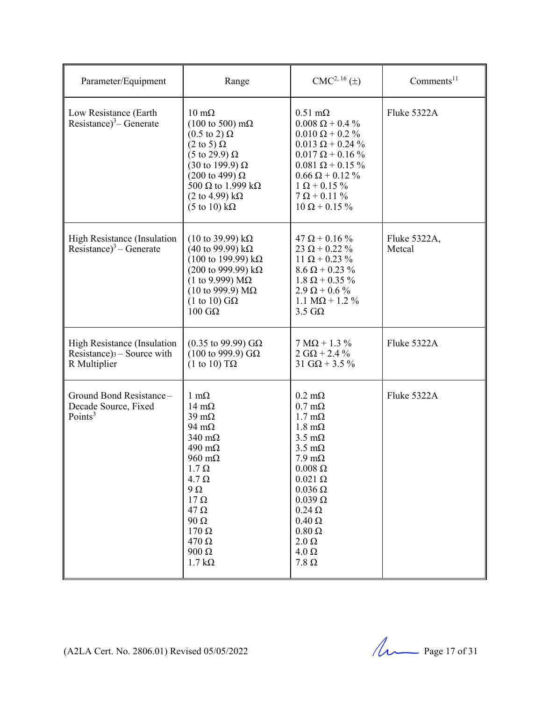| Parameter/Equipment                                                          | Range                                                                                                                                                                                                                                                                                                     | $CMC2, 16(\pm)$                                                                                                                                                                                                                                                                                                                                     | Comments <sup>11</sup> |
|------------------------------------------------------------------------------|-----------------------------------------------------------------------------------------------------------------------------------------------------------------------------------------------------------------------------------------------------------------------------------------------------------|-----------------------------------------------------------------------------------------------------------------------------------------------------------------------------------------------------------------------------------------------------------------------------------------------------------------------------------------------------|------------------------|
| Low Resistance (Earth)<br>Resistance) <sup>3</sup> – Generate                | $10 \text{ m}\Omega$<br>$(100 \text{ to } 500) \text{ m}\Omega$<br>$(0.5 \text{ to } 2) \Omega$<br>$(2 \text{ to } 5) \Omega$<br>(5 to 29.9) $\Omega$<br>(30 to 199.9) Ω<br>$(200 \text{ to } 499) \Omega$<br>500 $\Omega$ to 1.999 k $\Omega$<br>(2 to 4.99) kΩ<br>$(5 \text{ to } 10) \text{ k}\Omega$  | $0.51 \text{ m}\Omega$<br>$0.008 \Omega + 0.4 \%$<br>$0.010 \Omega + 0.2 \%$<br>$0.013 \Omega + 0.24 \%$<br>$0.017 \Omega + 0.16 \%$<br>$0.081 \Omega + 0.15 \%$<br>$0.66 \Omega + 0.12 \%$<br>$1 \Omega + 0.15 \%$<br>$7 \Omega + 0.11 \%$<br>$10 \Omega + 0.15 \%$                                                                                | Fluke 5322A            |
| High Resistance (Insulation<br>Resistance) <sup>3</sup> – Generate           | $(10 \text{ to } 39.99) \text{ kΩ}$<br>(40 to 99.99) kΩ<br>$(100 \text{ to } 199.99) \text{ kΩ}$<br>(200 to 999.99) kΩ<br>(1 to 9.999) $M\Omega$<br>(10 to 999.9) $MΩ$<br>$(1 \text{ to } 10)$ GQ<br>$100$ GΩ                                                                                             | $47 \Omega + 0.16 \%$<br>$23 \Omega + 0.22 \%$<br>$11 \Omega + 0.23 \%$<br>$8.6 \Omega + 0.23 \%$<br>$1.8 \Omega + 0.35 \%$<br>$2.9 \Omega + 0.6 \%$<br>$1.1 M\Omega + 1.2 \%$<br>$3.5 \text{ G}\Omega$                                                                                                                                             | Fluke 5322A,<br>Metcal |
| High Resistance (Insulation<br>Resistance) $3 -$ Source with<br>R Multiplier | $(0.35 \text{ to } 99.99) \text{ G}\Omega$<br>$(100 \text{ to } 999.9)$ GΩ<br>$(1 \text{ to } 10)$ TQ                                                                                                                                                                                                     | $7 M\Omega + 1.3 \%$<br>$2 G\Omega + 2.4 \%$<br>$31 \text{ G}\Omega + 3.5 \%$                                                                                                                                                                                                                                                                       | Fluke 5322A            |
| Ground Bond Resistance-<br>Decade Source, Fixed<br>Points <sup>3</sup>       | $1 \text{ m}\Omega$<br>$14 \text{ mA}$<br>$39 \text{ mA}$<br>94 m $\Omega$<br>$340 \text{ m}\Omega$<br>490 $m\Omega$<br>$960 \text{ m}\Omega$<br>$1.7 \Omega$<br>$4.7 \Omega$<br>$9\Omega$<br>$17 \Omega$<br>$47 \Omega$<br>$90\ \Omega$<br>$170 \Omega$<br>$470 \Omega$<br>$900 \Omega$<br>$1.7 k\Omega$ | $0.2 \text{ m}\Omega$<br>$0.7 \text{ m}\Omega$<br>$1.7 \text{ m}\Omega$<br>$1.8 \text{ m}\Omega$<br>$3.5 \text{ m}\Omega$<br>$3.5 \text{ mA}$<br>$7.9 \text{ m}\Omega$<br>$0.008 \Omega$<br>$0.021 \Omega$<br>$0.036 \Omega$<br>$0.039 \Omega$<br>$0.24 \Omega$<br>$0.40 \Omega$<br>$0.80\ \Omega$<br>$2.0 \Omega$<br>$4.0 \Omega$<br>$7.8\ \Omega$ | Fluke 5322A            |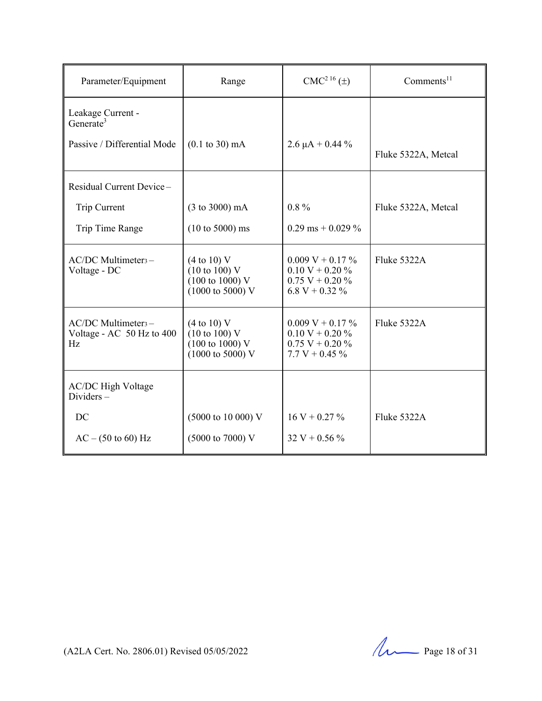| Parameter/Equipment                                                | Range                                                                                                        | CMC <sup>216</sup> (±)                                                               | $Comments^{11}$     |
|--------------------------------------------------------------------|--------------------------------------------------------------------------------------------------------------|--------------------------------------------------------------------------------------|---------------------|
| Leakage Current -<br>Generate <sup>3</sup>                         |                                                                                                              |                                                                                      |                     |
| Passive / Differential Mode                                        | $(0.1 \text{ to } 30) \text{ mA}$                                                                            | 2.6 $\mu$ A + 0.44 %                                                                 | Fluke 5322A, Metcal |
| Residual Current Device-                                           |                                                                                                              |                                                                                      |                     |
| Trip Current                                                       | $(3 \text{ to } 3000) \text{ mA}$                                                                            | $0.8\%$                                                                              | Fluke 5322A, Metcal |
| Trip Time Range                                                    | $(10 \text{ to } 5000) \text{ ms}$                                                                           | $0.29$ ms + 0.029 %                                                                  |                     |
| AC/DC Multimeter <sub>3</sub> -<br>Voltage - DC                    | (4 to 10) V<br>$(10 \text{ to } 100)$ V<br>$(100 \text{ to } 1000)$ V<br>$(1000 \text{ to } 5000) \text{ V}$ | $0.009 V + 0.17 \%$<br>$0.10 V + 0.20 \%$<br>$0.75 V + 0.20 \%$<br>6.8 V + 0.32 $\%$ | Fluke 5322A         |
| AC/DC Multimeter <sub>3</sub> -<br>Voltage - AC 50 Hz to 400<br>Hz | (4 to 10) V<br>$(10 \text{ to } 100)$ V<br>$(100 \text{ to } 1000)$ V<br>$(1000 \text{ to } 5000) \text{ V}$ | $0.009 V + 0.17 \%$<br>$0.10 V + 0.20 \%$<br>$0.75 V + 0.20 \%$<br>$7.7 V + 0.45 \%$ | Fluke 5322A         |
| <b>AC/DC High Voltage</b><br>$Dividers -$                          |                                                                                                              |                                                                                      |                     |
| DC                                                                 | (5000 to 10 000) V                                                                                           | $16 V + 0.27 \%$                                                                     | Fluke 5322A         |
| $AC - (50 to 60) Hz$                                               | (5000 to 7000) V                                                                                             | $32 V + 0.56 \%$                                                                     |                     |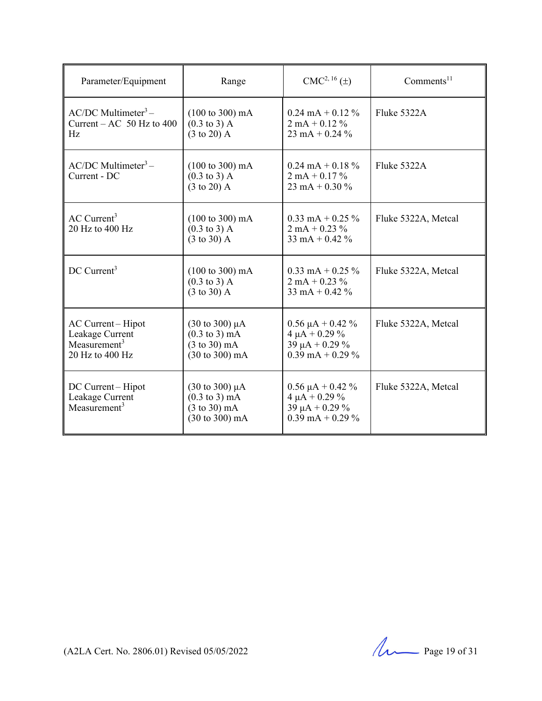| Parameter/Equipment                                                       | Range                                                                                                                                          | $CMC2, 16(\pm)$                                                                                     | Comments $11$       |
|---------------------------------------------------------------------------|------------------------------------------------------------------------------------------------------------------------------------------------|-----------------------------------------------------------------------------------------------------|---------------------|
| $AC/DC$ Multimeter <sup>3</sup> –<br>Current – AC $50$ Hz to 400<br>Hz    | $(100 \text{ to } 300) \text{ mA}$<br>$(0.3 \text{ to } 3)$ A<br>$(3 \text{ to } 20)$ A                                                        | $0.24 \text{ mA} + 0.12 \%$<br>$2 \text{ mA} + 0.12 \%$<br>$23 \text{ mA} + 0.24 \%$                | Fluke 5322A         |
| $AC/DC$ Multimeter <sup>3</sup> –<br>Current - DC                         | $(100 \text{ to } 300) \text{ mA}$<br>$(0.3 \text{ to } 3)$ A<br>$(3 \text{ to } 20)$ A                                                        | $0.24 \text{ mA} + 0.18 \%$<br>$2 \text{ mA} + 0.17 \%$<br>$23 \text{ mA} + 0.30 \%$                | Fluke 5322A         |
| $AC$ Current <sup>3</sup><br>20 Hz to 400 Hz                              | $(100 \text{ to } 300) \text{ mA}$<br>$(0.3 \text{ to } 3)$ A<br>$(3 \text{ to } 30)$ A                                                        | $0.33 \text{ mA} + 0.25 \%$<br>$2 \text{ mA} + 0.23 \%$<br>$33 \text{ mA} + 0.42 \%$                | Fluke 5322A, Metcal |
| DC Current <sup>3</sup>                                                   | $(100 \text{ to } 300) \text{ mA}$<br>$(0.3 \text{ to } 3)$ A<br>$(3 \text{ to } 30)$ A                                                        | $0.33 \text{ mA} + 0.25 \%$<br>$2 \text{ mA} + 0.23 \%$<br>$33 \text{ mA} + 0.42 \%$                | Fluke 5322A, Metcal |
| AC Current-Hipot<br>Leakage Current<br>Measurement $3$<br>20 Hz to 400 Hz | $(30 \text{ to } 300) \mu\text{A}$<br>$(0.3 \text{ to } 3) \text{ mA}$<br>$(3 \text{ to } 30) \text{ mA}$<br>(30 to 300) mA                    | $0.56 \mu A + 0.42 \%$<br>$4 \mu A + 0.29 \%$<br>39 $\mu$ A + 0.29 %<br>$0.39 \text{ mA} + 0.29 \%$ | Fluke 5322A, Metcal |
| DC Current-Hipot<br>Leakage Current<br>Measurement $3$                    | $(30 \text{ to } 300) \mu\text{A}$<br>$(0.3 \text{ to } 3) \text{ mA}$<br>$(3 \text{ to } 30) \text{ mA}$<br>$(30 \text{ to } 300) \text{ mA}$ | $0.56 \mu A + 0.42 \%$<br>$4 \mu A + 0.29 \%$<br>39 $\mu$ A + 0.29 %<br>$0.39 \text{ mA} + 0.29 \%$ | Fluke 5322A, Metcal |

(A2LA Cert. No. 2806.01) Revised 05/05/2022 Page 19 of 31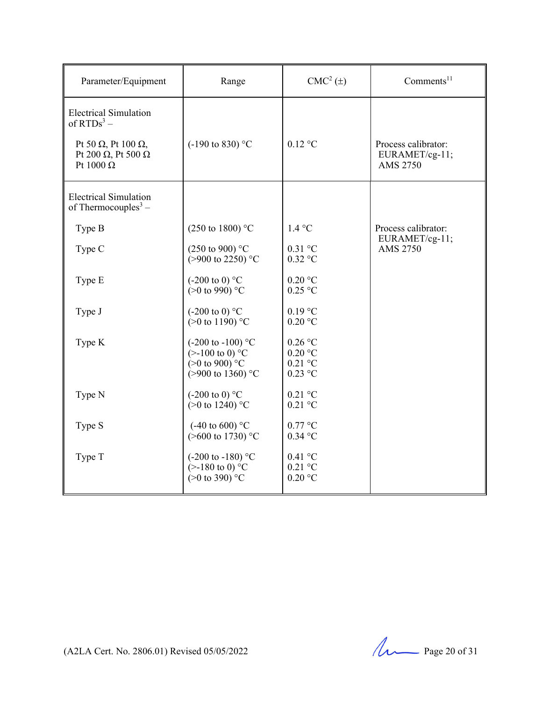| Parameter/Equipment                                                                                                                          | Range                                                                                                                         | $CMC2(\pm)$                                      | Comments <sup>11</sup>                            |
|----------------------------------------------------------------------------------------------------------------------------------------------|-------------------------------------------------------------------------------------------------------------------------------|--------------------------------------------------|---------------------------------------------------|
| <b>Electrical Simulation</b><br>of $RTDs^3$ –<br>Pt 50 $\Omega$ , Pt 100 $\Omega$ ,<br>Pt 200 $\Omega$ , Pt 500 $\Omega$<br>Pt 1000 $\Omega$ | $(-190 \text{ to } 830)$ °C                                                                                                   | $0.12$ °C                                        | Process calibrator:<br>EURAMET/cg-11;<br>AMS 2750 |
| <b>Electrical Simulation</b><br>of Thermocouples <sup>3</sup> –                                                                              |                                                                                                                               |                                                  |                                                   |
| Type B                                                                                                                                       | $(250 \text{ to } 1800)$ °C                                                                                                   | 1.4 °C                                           | Process calibrator:                               |
| Type C                                                                                                                                       | $(250 \text{ to } 900)$ °C<br>$(>900 \text{ to } 2250)$ °C                                                                    | $0.31$ °C<br>$0.32$ °C                           | EURAMET/cg-11;<br><b>AMS 2750</b>                 |
| Type E                                                                                                                                       | $(-200 \text{ to } 0)$ °C<br>$(>0 \text{ to } 990)$ °C                                                                        | $0.20$ °C<br>$0.25$ °C                           |                                                   |
| Type J                                                                                                                                       | $(-200 \text{ to } 0)$ °C<br>(>0 to 1190) $^{\circ}$ C                                                                        | $0.19$ °C<br>$0.20$ °C                           |                                                   |
| Type K                                                                                                                                       | $(-200 \text{ to } -100)$ °C<br>$(>100 \text{ to } 0)$ °C<br>$(>0 \text{ to } 900)^{\circ}$ C<br>$(>900 \text{ to } 1360)$ °C | $0.26$ °C<br>$0.20$ °C<br>$0.21$ °C<br>$0.23$ °C |                                                   |
| Type N                                                                                                                                       | $(-200 \text{ to } 0)$ °C<br>$(>0 \text{ to } 1240)$ °C                                                                       | $0.21$ °C<br>$0.21$ °C                           |                                                   |
| Type S                                                                                                                                       | $(-40 \text{ to } 600)$ °C<br>$($ >600 to 1730) °C                                                                            | $0.77$ °C<br>$0.34$ °C                           |                                                   |
| Type T                                                                                                                                       | $(-200 \text{ to } -180)$ °C<br>$(>180 \text{ to } 0)$ °C<br>$(>0 \text{ to } 390)^{\circ}$ C                                 | $0.41$ °C<br>$0.21$ °C<br>$0.20$ °C              |                                                   |

(A2LA Cert. No. 2806.01) Revised 05/05/2022 Page 20 of 31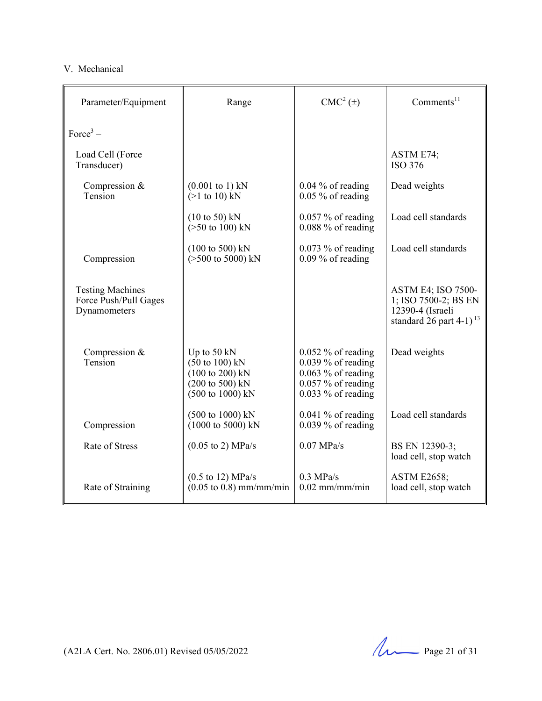#### V. Mechanical

| Parameter/Equipment                                              | Range                                                                                                                                                               | $CMC2(\pm)$                                                                                                          | Comments <sup>11</sup>                                                                                         |
|------------------------------------------------------------------|---------------------------------------------------------------------------------------------------------------------------------------------------------------------|----------------------------------------------------------------------------------------------------------------------|----------------------------------------------------------------------------------------------------------------|
| Force <sup>3</sup> –                                             |                                                                                                                                                                     |                                                                                                                      |                                                                                                                |
| Load Cell (Force<br>Transducer)                                  |                                                                                                                                                                     |                                                                                                                      | ASTM E74;<br><b>ISO 376</b>                                                                                    |
| Compression &<br>Tension                                         | $(0.001 \text{ to } 1) \text{ kN}$<br>$(>1 \text{ to } 10)$ kN                                                                                                      | $0.04\%$ of reading<br>$0.05\%$ of reading                                                                           | Dead weights                                                                                                   |
|                                                                  | $(10 \text{ to } 50) \text{ kN}$<br>$($ >50 to 100) kN                                                                                                              | $0.057\%$ of reading<br>$0.088\%$ of reading                                                                         | Load cell standards                                                                                            |
| Compression                                                      | $(100 \text{ to } 500) \text{ kN}$<br>$(>500 \text{ to } 5000) \text{ kN}$                                                                                          | $0.073\%$ of reading<br>$0.09\%$ of reading                                                                          | Load cell standards                                                                                            |
| <b>Testing Machines</b><br>Force Push/Pull Gages<br>Dynamometers |                                                                                                                                                                     |                                                                                                                      | <b>ASTM E4; ISO 7500-</b><br>1; ISO 7500-2; BS EN<br>12390-4 (Israeli<br>standard $26$ part 4-1) <sup>13</sup> |
| Compression &<br>Tension                                         | Up to 50 kN<br>$(50 \text{ to } 100) \text{ kN}$<br>$(100 \text{ to } 200) \text{ kN}$<br>$(200 \text{ to } 500) \text{ kN}$<br>$(500 \text{ to } 1000) \text{ kN}$ | $0.052\%$ of reading<br>$0.039\%$ of reading<br>$0.063\%$ of reading<br>$0.057\%$ of reading<br>$0.033\%$ of reading | Dead weights                                                                                                   |
| Compression                                                      | (500 to 1000) kN<br>$(1000 \text{ to } 5000) \text{ kN}$                                                                                                            | $0.041\%$ of reading<br>$0.039\%$ of reading                                                                         | Load cell standards                                                                                            |
| Rate of Stress                                                   | $(0.05 \text{ to } 2) \text{ MPa/s}$                                                                                                                                | $0.07$ MPa/s                                                                                                         | BS EN 12390-3;<br>load cell, stop watch                                                                        |
| Rate of Straining                                                | $(0.5 \text{ to } 12) \text{ MPa/s}$<br>$(0.05 \text{ to } 0.8) \text{ mm/mm/min}$                                                                                  | $0.3$ MPa/s<br>$0.02$ mm/mm/min                                                                                      | <b>ASTM E2658;</b><br>load cell, stop watch                                                                    |

(A2LA Cert. No. 2806.01) Revised 05/05/2022 Page 21 of 31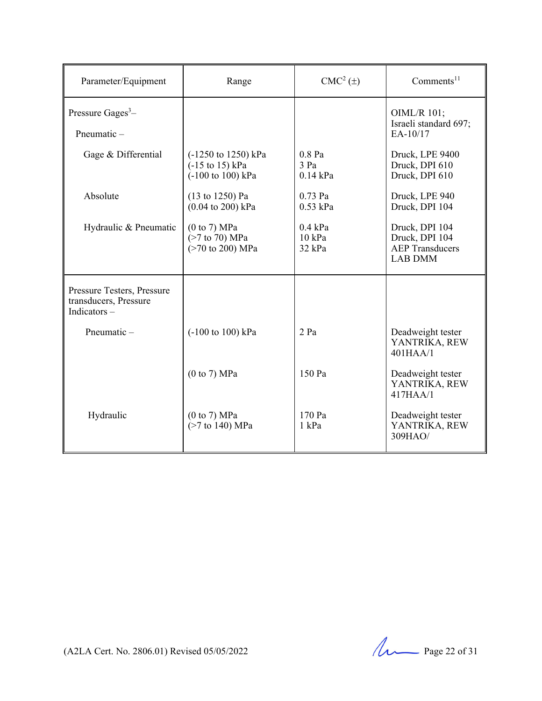| Parameter/Equipment                                                   | Range                                                                                             | CMC <sup>2</sup> (±)                              | Comments <sup>11</sup>                                                       |
|-----------------------------------------------------------------------|---------------------------------------------------------------------------------------------------|---------------------------------------------------|------------------------------------------------------------------------------|
| Pressure $Gages3$ -<br>Pneumatic-                                     |                                                                                                   |                                                   | OIML/R 101;<br>Israeli standard 697;<br>EA-10/17                             |
| Gage & Differential                                                   | $(-1250 \text{ to } 1250) \text{ kPa}$<br>$(-15 \text{ to } 15) \text{ kPa}$<br>(-100 to 100) kPa | $0.8$ Pa<br>3 Pa<br>$0.14$ kPa                    | Druck, LPE 9400<br>Druck, DPI 610<br>Druck, DPI 610                          |
| Absolute                                                              | (13 to 1250) Pa<br>$(0.04 \text{ to } 200) \text{ kPa}$                                           | $0.73$ Pa<br>$0.53$ kPa                           | Druck, LPE 940<br>Druck, DPI 104                                             |
| Hydraulic & Pneumatic                                                 | (0 to 7) MPa<br>$($ >7 to 70) MPa<br>(>70 to 200) MPa                                             | $0.4 \text{ kPa}$<br>$10 \text{ kPa}$<br>$32$ kPa | Druck, DPI 104<br>Druck, DPI 104<br><b>AEP Transducers</b><br><b>LAB DMM</b> |
| Pressure Testers, Pressure<br>transducers, Pressure<br>Indicators $-$ |                                                                                                   |                                                   |                                                                              |
| Pneumatic $-$                                                         | (-100 to 100) kPa                                                                                 | 2 Pa                                              | Deadweight tester<br>YANTRIKA, REW<br>401HAA/1                               |
|                                                                       | (0 to 7) MPa                                                                                      | 150 Pa                                            | Deadweight tester<br>YANTRIKA, REW<br>417HAA/1                               |
| Hydraulic                                                             | (0 to 7) MPa<br>$($ >7 to 140) MPa                                                                | 170 Pa<br>1 kPa                                   | Deadweight tester<br>YANTRIKA, REW<br>309HAO/                                |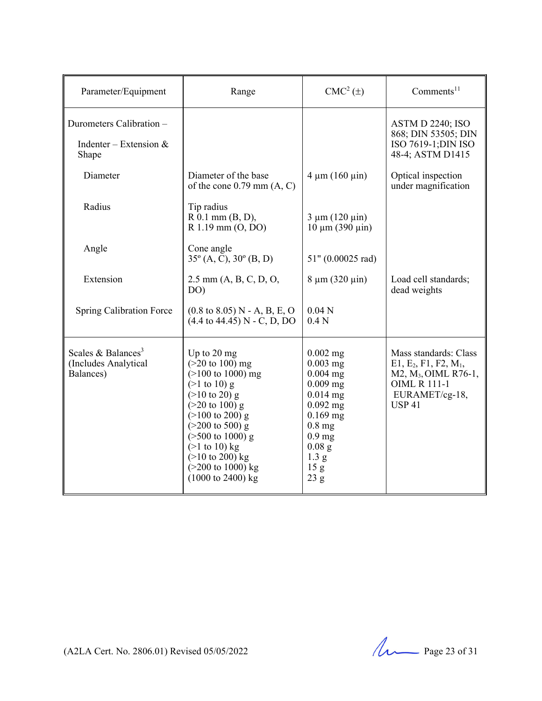| Parameter/Equipment                                                 | Range                                                                                                                                                                                                                                                                                                                                                                                     | $CMC2(\pm)$                                                                                                                                                                       | Comments $11$                                                                                                                                  |
|---------------------------------------------------------------------|-------------------------------------------------------------------------------------------------------------------------------------------------------------------------------------------------------------------------------------------------------------------------------------------------------------------------------------------------------------------------------------------|-----------------------------------------------------------------------------------------------------------------------------------------------------------------------------------|------------------------------------------------------------------------------------------------------------------------------------------------|
| Durometers Calibration -<br>Indenter – Extension $&$<br>Shape       |                                                                                                                                                                                                                                                                                                                                                                                           |                                                                                                                                                                                   | ASTM D 2240; ISO<br>868; DIN 53505; DIN<br>ISO 7619-1; DIN ISO<br>48-4; ASTM D1415                                                             |
| Diameter                                                            | Diameter of the base<br>of the cone $0.79$ mm $(A, C)$                                                                                                                                                                                                                                                                                                                                    | $4 \mu m (160 \mu m)$                                                                                                                                                             | Optical inspection<br>under magnification                                                                                                      |
| Radius                                                              | Tip radius<br>$R$ 0.1 mm $(B, D)$ ,<br>R 1.19 mm (O, DO)                                                                                                                                                                                                                                                                                                                                  | $3 \mu m (120 \mu m)$<br>$10 \mu m (390 \mu m)$                                                                                                                                   |                                                                                                                                                |
| Angle                                                               | Cone angle<br>$35^{\circ}$ (A, C), $30^{\circ}$ (B, D)                                                                                                                                                                                                                                                                                                                                    | 51" (0.00025 rad)                                                                                                                                                                 |                                                                                                                                                |
| Extension                                                           | 2.5 mm (A, B, C, D, O,<br>DO)                                                                                                                                                                                                                                                                                                                                                             | $8 \mu m (320 \mu m)$                                                                                                                                                             | Load cell standards;<br>dead weights                                                                                                           |
| <b>Spring Calibration Force</b>                                     | $(0.8 \text{ to } 8.05) \text{ N}$ - A, B, E, O<br>$(4.4 \text{ to } 44.45) \text{ N} - \text{C}, \text{D}, \text{DO}$                                                                                                                                                                                                                                                                    | 0.04 <sub>N</sub><br>0.4 <sub>N</sub>                                                                                                                                             |                                                                                                                                                |
| Scales & Balances <sup>3</sup><br>(Includes Analytical<br>Balances) | Up to 20 mg<br>$(>20 \text{ to } 100)$ mg<br>$(>100 \text{ to } 1000) \text{ mg}$<br>$(>1 \text{ to } 10)$ g<br>$(>10 \text{ to } 20)$ g<br>$(>20 \text{ to } 100)$ g<br>$(>100 \text{ to } 200)$ g<br>$(>200 \text{ to } 500)$ g<br>$($ >500 to 1000) g<br>$(>1$ to 10) kg<br>$(>10 \text{ to } 200)$ kg<br>$(>200 \text{ to } 1000) \text{ kg}$<br>$(1000 \text{ to } 2400) \text{ kg}$ | $0.002$ mg<br>$0.003$ mg<br>$0.004$ mg<br>$0.009$ mg<br>$0.014$ mg<br>$0.092$ mg<br>$0.169$ mg<br>$0.8$ mg<br>$0.9$ mg<br>$0.08$ g<br>1.3 <sub>g</sub><br>15 <sub>g</sub><br>23 g | Mass standards: Class<br>$E1, E_2, F1, F2, M_1,$<br>M2, M <sub>3</sub> , OIML R76-1,<br><b>OIML R 111-1</b><br>EURAMET/cg-18,<br><b>USP 41</b> |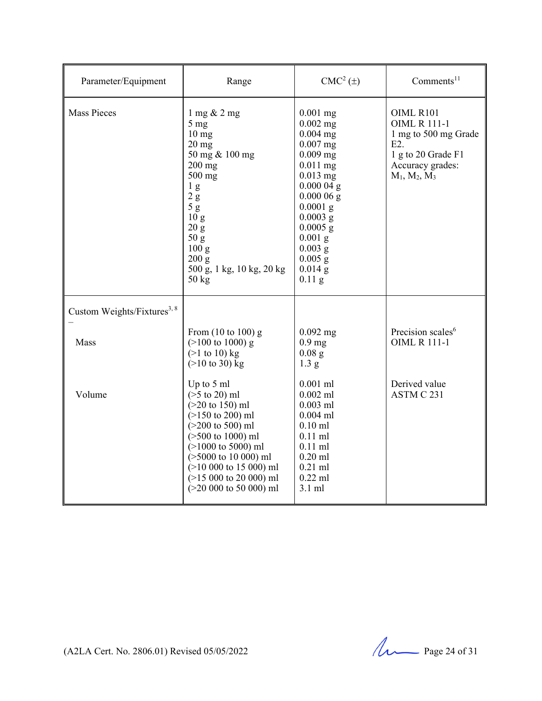| Parameter/Equipment                     | Range                                                                                                                                                                                                                                                                                            | $CMC2(\pm)$                                                                                                                                                                                                                            | Comments <sup>11</sup>                                                                                                       |
|-----------------------------------------|--------------------------------------------------------------------------------------------------------------------------------------------------------------------------------------------------------------------------------------------------------------------------------------------------|----------------------------------------------------------------------------------------------------------------------------------------------------------------------------------------------------------------------------------------|------------------------------------------------------------------------------------------------------------------------------|
| <b>Mass Pieces</b>                      | $1 \text{ mg} \& 2 \text{ mg}$<br>5 <sub>mg</sub><br>$10 \text{ mg}$<br>$20$ mg<br>50 mg & 100 mg<br>$200$ mg<br>$500$ mg<br>1 <sub>g</sub><br>$2\ {\rm g}$<br>5g<br>10 <sub>g</sub><br>20 g<br>50 g<br>100 g<br>200 g<br>500 g, 1 kg, 10 kg, 20 kg<br>$50 \text{ kg}$                           | $0.001$ mg<br>$0.002$ mg<br>$0.004$ mg<br>$0.007$ mg<br>$0.009$ mg<br>$0.011$ mg<br>$0.013$ mg<br>$0.00004$ g<br>$0.00006$ g<br>$0.0001$ g<br>$0.0003$ g<br>$0.0005$ g<br>$0.001$ g<br>$0.003$ g<br>$0.005$ g<br>$0.014$ g<br>$0.11$ g | OIML R101<br><b>OIML R 111-1</b><br>1 mg to 500 mg Grade<br>E2.<br>1 g to 20 Grade F1<br>Accuracy grades:<br>$M_1, M_2, M_3$ |
| Custom Weights/Fixtures <sup>3, 8</sup> |                                                                                                                                                                                                                                                                                                  |                                                                                                                                                                                                                                        |                                                                                                                              |
| Mass                                    | From $(10 \text{ to } 100)$ g<br>$(>100 \text{ to } 1000)$ g<br>$(>1 \text{ to } 10)$ kg<br>$(>10 \text{ to } 30)$ kg                                                                                                                                                                            | $0.092$ mg<br>$0.9$ mg<br>$0.08$ g<br>1.3 g                                                                                                                                                                                            | Precision scales <sup>6</sup><br><b>OIML R 111-1</b>                                                                         |
| Volume                                  | Up to 5 ml<br>$($ >5 to 20) ml<br>$(>20 \text{ to } 150) \text{ ml}$<br>$(>150$ to 200) ml<br>$(>200 \text{ to } 500) \text{ ml}$<br>$($ >500 to 1000) ml<br>$(>1000$ to 5000) ml<br>$($ >5000 to 10 000) ml<br>$(>10 000$ to 15 000) ml<br>$(>15 000$ to 20 000) ml<br>$(>20 000$ to 50 000) ml | $0.001$ ml<br>$0.002$ ml<br>$0.003$ ml<br>$0.004$ ml<br>$0.10$ ml<br>$0.11$ ml<br>$0.11$ ml<br>$0.20$ ml<br>$0.21$ ml<br>$0.22$ ml<br>3.1 ml                                                                                           | Derived value<br>ASTM C 231                                                                                                  |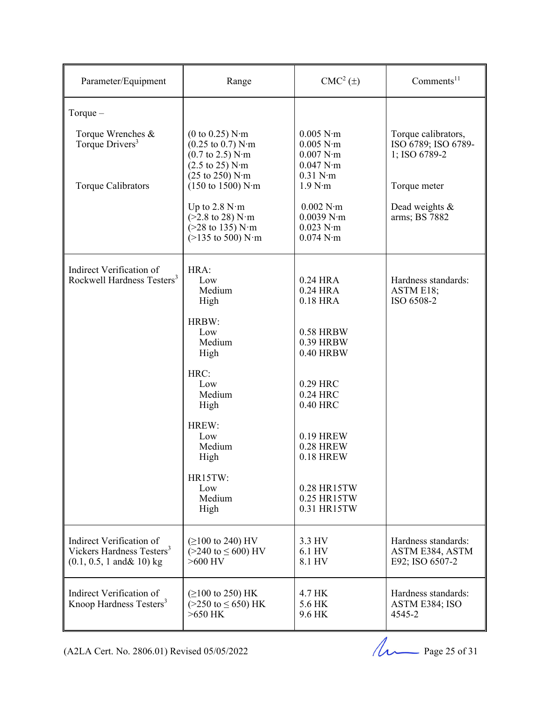| Parameter/Equipment                                                                                        | Range                                                                                                                                                                                                                                     | $CMC2(\pm)$                                                                          | Comments <sup>11</sup>                                      |
|------------------------------------------------------------------------------------------------------------|-------------------------------------------------------------------------------------------------------------------------------------------------------------------------------------------------------------------------------------------|--------------------------------------------------------------------------------------|-------------------------------------------------------------|
| Torque $-$                                                                                                 |                                                                                                                                                                                                                                           |                                                                                      |                                                             |
| Torque Wrenches &<br>Torque Drivers <sup>3</sup>                                                           | $(0 \text{ to } 0.25)$ N·m<br>$(0.25 \text{ to } 0.7) \text{ N} \cdot \text{m}$<br>$(0.7 \text{ to } 2.5) \text{ N} \cdot \text{m}$<br>$(2.5 \text{ to } 25) \text{ N} \cdot \text{m}$<br>$(25 \text{ to } 250) \text{ N} \cdot \text{m}$ | $0.005$ N $\cdot$ m<br>$0.005$ N·m<br>$0.007$ N·m<br>0.047 N·m<br>$0.31$ N $\cdot$ m | Torque calibrators,<br>ISO 6789; ISO 6789-<br>1; ISO 6789-2 |
| Torque Calibrators                                                                                         | $(150 \text{ to } 1500) \text{ N} \cdot \text{m}$                                                                                                                                                                                         | 1.9 N·m                                                                              | Torque meter                                                |
|                                                                                                            | Up to $2.8 \text{ N} \cdot \text{m}$<br>$(>2.8 \text{ to } 28) \text{ N} \cdot \text{m}$<br>$(>28 \text{ to } 135) \text{ N} \cdot \text{m}$<br>$(>135 \text{ to } 500) \text{ N} \cdot \text{m}$                                         | $0.002$ N $\cdot$ m<br>0.0039 N·m<br>$0.023$ N $\cdot$ m<br>$0.074$ N·m              | Dead weights &<br>arms; BS 7882                             |
| Indirect Verification of<br>Rockwell Hardness Testers <sup>3</sup>                                         | HRA:<br>Low<br>Medium<br>High                                                                                                                                                                                                             | 0.24 HRA<br>0.24 HRA<br>0.18 HRA                                                     | Hardness standards:<br>ASTM E18;<br>ISO 6508-2              |
|                                                                                                            | HRBW:<br>Low<br>Medium<br>High                                                                                                                                                                                                            | 0.58 HRBW<br>0.39 HRBW<br>0.40 HRBW                                                  |                                                             |
|                                                                                                            | HRC:<br>Low<br>Medium<br>High                                                                                                                                                                                                             | 0.29 HRC<br>0.24 HRC<br>0.40 HRC                                                     |                                                             |
|                                                                                                            | HREW:<br>Low<br>Medium<br>High                                                                                                                                                                                                            | 0.19 HREW<br><b>0.28 HREW</b><br>0.18 HREW                                           |                                                             |
|                                                                                                            | HR15TW:<br>Low<br>Medium<br>High                                                                                                                                                                                                          | 0.28 HR15TW<br>0.25 HR15TW<br>0.31 HR15TW                                            |                                                             |
| Indirect Verification of<br>Vickers Hardness Testers <sup>3</sup><br>$(0.1, 0.5, 1 \text{ and } \& 10)$ kg | $( \geq 100 \text{ to } 240)$ HV<br>$(>240 \text{ to } \leq 600)$ HV<br>$>600$ HV                                                                                                                                                         | 3.3 HV<br>6.1 HV<br>8.1 HV                                                           | Hardness standards:<br>ASTM E384, ASTM<br>E92; ISO 6507-2   |
| Indirect Verification of<br>Knoop Hardness Testers <sup>3</sup>                                            | $( \geq 100 \text{ to } 250)$ HK<br>$(>250 \text{ to } \leq 650) \text{ HK}$<br>$>650$ HK                                                                                                                                                 | 4.7 HK<br>5.6 HK<br>9.6 HK                                                           | Hardness standards:<br>ASTM E384; ISO<br>4545-2             |

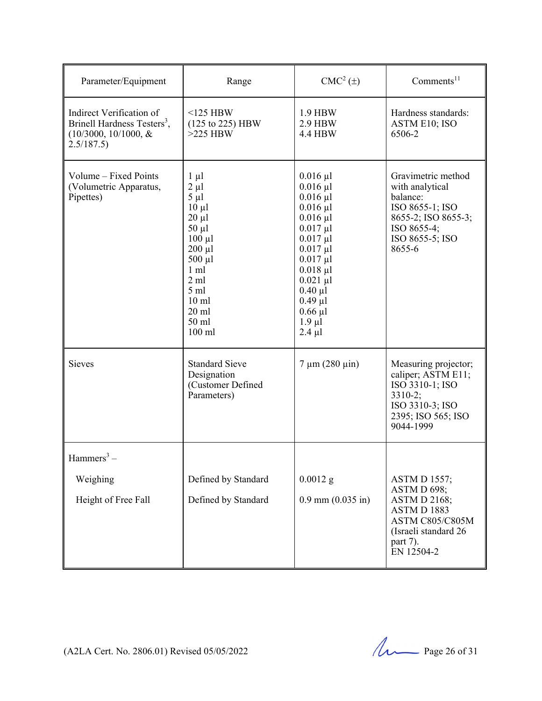| Parameter/Equipment                                                                                         | Range                                                                                                                                                                                                                                         | $CMC2(\pm)$                                                                                                                                                                                                                                            | Comments <sup>11</sup>                                                                                                                  |
|-------------------------------------------------------------------------------------------------------------|-----------------------------------------------------------------------------------------------------------------------------------------------------------------------------------------------------------------------------------------------|--------------------------------------------------------------------------------------------------------------------------------------------------------------------------------------------------------------------------------------------------------|-----------------------------------------------------------------------------------------------------------------------------------------|
| Indirect Verification of<br>Brinell Hardness Testers <sup>3</sup> ,<br>$(10/3000, 10/1000, \&$<br>2.5/187.5 | $<$ 125 HBW<br>(125 to 225) HBW<br>$>225$ HBW                                                                                                                                                                                                 | 1.9 HBW<br>2.9 HBW<br><b>4.4 HBW</b>                                                                                                                                                                                                                   | Hardness standards:<br>ASTM E10; ISO<br>6506-2                                                                                          |
| Volume - Fixed Points<br>(Volumetric Apparatus,<br>Pipettes)                                                | $1 \mu l$<br>$2 \mu l$<br>$5 \mu l$<br>$10 \mu l$<br>$20 \mu l$<br>$50 \mu l$<br>$100 \mu l$<br>$200 \mu l$<br>$500 \mu l$<br>$1 \text{ ml}$<br>$2 \text{ ml}$<br>$5 \text{ ml}$<br>$10 \text{ ml}$<br>$20 \text{ ml}$<br>$50$ ml<br>$100$ ml | $0.016 \mu l$<br>$0.016$ µl<br>$0.016$ µl<br>$0.016$ µl<br>$0.016$ µl<br>$0.017 \mu l$<br>$0.017 \mu l$<br>$0.017 \mu l$<br>$0.017 \mu l$<br>$0.018$ µl<br>$0.021 \mu l$<br>$0.40 \mu l$<br>$0.49 \mu l$<br>$0.66 \mu l$<br>$1.9 \mu l$<br>$2.4 \mu l$ | Gravimetric method<br>with analytical<br>balance:<br>ISO 8655-1; ISO<br>8655-2; ISO 8655-3;<br>ISO 8655-4;<br>ISO 8655-5; ISO<br>8655-6 |
| Sieves                                                                                                      | <b>Standard Sieve</b><br>Designation<br>(Customer Defined<br>Parameters)                                                                                                                                                                      | $7 \mu m (280 \mu m)$                                                                                                                                                                                                                                  | Measuring projector;<br>caliper; ASTM E11;<br>ISO 3310-1; ISO<br>$3310-2;$<br>ISO 3310-3; ISO<br>2395; ISO 565; ISO<br>9044-1999        |
| Hammers <sup>3</sup> –                                                                                      |                                                                                                                                                                                                                                               |                                                                                                                                                                                                                                                        |                                                                                                                                         |
| Weighing                                                                                                    | Defined by Standard                                                                                                                                                                                                                           | $0.0012$ g                                                                                                                                                                                                                                             | <b>ASTM D 1557;</b><br>ASTM D 698;                                                                                                      |
| Height of Free Fall                                                                                         | Defined by Standard                                                                                                                                                                                                                           | $0.9$ mm $(0.035$ in)                                                                                                                                                                                                                                  | <b>ASTM D 2168;</b><br>ASTMD1883<br>ASTM C805/C805M<br>(Israeli standard 26<br>part 7).<br>EN 12504-2                                   |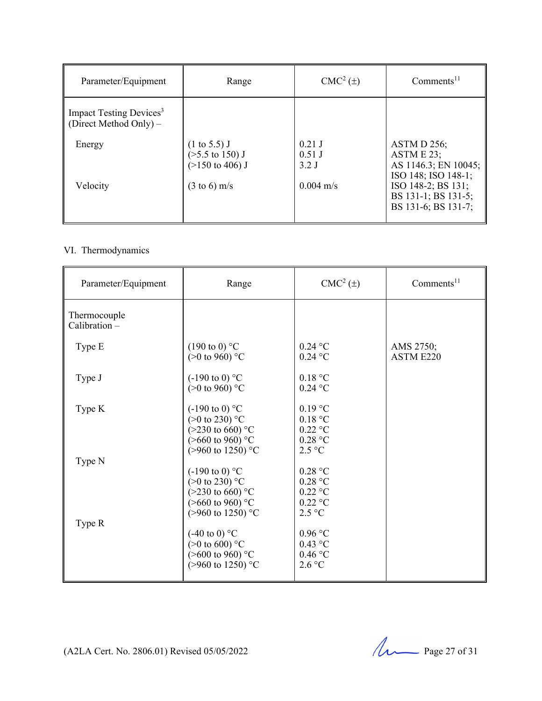| Parameter/Equipment                                             | Range                                                                               | $CMC2(\pm)$                   | Comments <sup>11</sup>                                                   |
|-----------------------------------------------------------------|-------------------------------------------------------------------------------------|-------------------------------|--------------------------------------------------------------------------|
| Impact Testing Devices <sup>3</sup><br>(Direct Method Only) $-$ |                                                                                     |                               |                                                                          |
| Energy                                                          | $(1 \text{ to } 5.5)$ J<br>$($ >5.5 to 150) J<br>$(>150 \text{ to } 406) \text{ J}$ | $0.21$ J<br>$0.51$ J<br>3.2 J | ASTM D 256;<br>ASTM E 23;<br>AS 1146.3; EN 10045;<br>ISO 148; ISO 148-1; |
| Velocity                                                        | $(3 \text{ to } 6) \text{ m/s}$                                                     | $0.004 \text{ m/s}$           | ISO 148-2; BS 131;<br>BS 131-1; BS 131-5;<br>BS 131-6; BS 131-7;         |

#### VI. Thermodynamics

| Parameter/Equipment           | Range                                                                                                                                                                                                                        | CMC <sup>2</sup> (±)                                                                                                               | Comments <sup>11</sup> |
|-------------------------------|------------------------------------------------------------------------------------------------------------------------------------------------------------------------------------------------------------------------------|------------------------------------------------------------------------------------------------------------------------------------|------------------------|
| Thermocouple<br>Calibration - |                                                                                                                                                                                                                              |                                                                                                                                    |                        |
| Type E                        | $(190 \text{ to } 0)$ °C<br>$(>0 \text{ to } 960)$ °C                                                                                                                                                                        | $0.24$ °C<br>$0.24$ °C                                                                                                             | AMS 2750;<br>ASTM E220 |
| Type J                        | $(-190 \text{ to } 0)$ °C<br>$(>0 \text{ to } 960)$ °C                                                                                                                                                                       | 0.18 °C<br>$0.24$ °C                                                                                                               |                        |
| Type K                        | $(-190 \text{ to } 0)$ °C<br>$(>0 \text{ to } 230)$ °C<br>$(>230 \text{ to } 660)$ °C<br>$($ >660 to 960) °C                                                                                                                 | $0.19$ °C<br>0.18 °C<br>$0.22$ °C<br>$0.28$ °C                                                                                     |                        |
| Type N<br>Type R              | (>960 to 1250) °C<br>$(-190 \text{ to } 0)$ °C<br>(>0 to 230) $°C$<br>$(>230 \text{ to } 660)$ °C<br>$($ >660 to 960) °C<br>$(>960 \text{ to } 1250)$ °C<br>$(-40 \text{ to } 0)$ °C<br>(>0 to 600) $°C$<br>(>600 to 960) °C | 2.5 °C<br>$0.28\ ^{\circ}\textrm{C}$<br>0.28 °C<br>$0.22$ °C<br>$0.22$ °C<br>$2.5 \text{ °C}$<br>$0.96$ °C<br>$0.43$ °C<br>0.46 °C |                        |
|                               | (>960 to 1250) °C                                                                                                                                                                                                            | 2.6 °C                                                                                                                             |                        |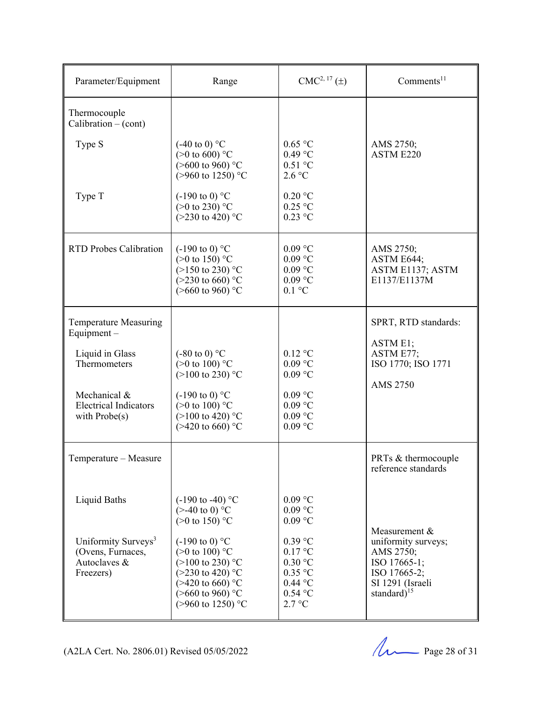| Parameter/Equipment                                                               | Range                                                                                                                                                                                | $CMC2, 17(\pm)$                                                                    | Comments <sup>11</sup>                                                                                                     |
|-----------------------------------------------------------------------------------|--------------------------------------------------------------------------------------------------------------------------------------------------------------------------------------|------------------------------------------------------------------------------------|----------------------------------------------------------------------------------------------------------------------------|
| Thermocouple<br>Calibration $-(\text{cont})$                                      |                                                                                                                                                                                      |                                                                                    |                                                                                                                            |
| Type S                                                                            | $(-40 \text{ to } 0)$ °C<br>$(>0 \text{ to } 600)$ °C<br>(>600 to 960) °C<br>(>960 to 1250) °C                                                                                       | $0.65$ °C<br>$0.49$ °C<br>$0.51$ °C<br>2.6 °C                                      | AMS 2750;<br>ASTM E220                                                                                                     |
| Type T                                                                            | $(-190 \text{ to } 0)$ °C<br>(>0 to 230) $°C$<br>$(>230 \text{ to } 420)$ °C                                                                                                         | $0.20$ °C<br>$0.25$ °C<br>$0.23$ °C                                                |                                                                                                                            |
| <b>RTD Probes Calibration</b>                                                     | $(-190 \text{ to } 0)$ °C<br>(>0 to 150) $^{\circ}$ C<br>$(>150 \text{ to } 230)$ °C<br>$(>230 \text{ to } 660)$ °C<br>(>660 to 960) °C                                              | $0.09$ °C<br>$0.09$ °C<br>$0.09$ °C<br>$0.09$ °C<br>$0.1 \text{ °C}$               | AMS 2750;<br>ASTM E644;<br>ASTM E1137; ASTM<br>E1137/E1137M                                                                |
| <b>Temperature Measuring</b><br>Equipment-                                        |                                                                                                                                                                                      |                                                                                    | SPRT, RTD standards:                                                                                                       |
| Liquid in Glass<br>Thermometers                                                   | $(-80 \text{ to } 0)$ °C<br>(>0 to 100) $^{\circ}$ C<br>$(>100 \text{ to } 230)$ °C                                                                                                  | $0.12$ °C<br>$0.09$ °C<br>$0.09$ °C                                                | ASTM E1;<br>ASTM E77;<br>ISO 1770; ISO 1771<br><b>AMS 2750</b>                                                             |
| Mechanical &<br><b>Electrical Indicators</b><br>with $Probe(s)$                   | $(-190 \text{ to } 0)$ °C<br>$(>0 \text{ to } 100)$ °C<br>$(>100 \text{ to } 420)$ °C<br>$(>420 \text{ to } 660)$ °C                                                                 | $0.09$ °C<br>$0.09$ °C<br>$0.09$ °C<br>$0.09$ °C                                   |                                                                                                                            |
| Temperature - Measure                                                             |                                                                                                                                                                                      |                                                                                    | PRTs & thermocouple<br>reference standards                                                                                 |
| Liquid Baths                                                                      | $(-190 \text{ to } -40)$ °C<br>$(>40 \text{ to } 0)$ °C<br>$(>0 \text{ to } 150)$ °C                                                                                                 | $0.09$ °C<br>$0.09$ °C<br>$0.09$ °C                                                |                                                                                                                            |
| Uniformity Surveys <sup>3</sup><br>(Ovens, Furnaces,<br>Autoclaves &<br>Freezers) | $(-190 \text{ to } 0)$ °C<br>$(>0 \text{ to } 100)$ °C<br>$(>100 \text{ to } 230)$ °C<br>$(>230 \text{ to } 420)$ °C<br>$($ >420 to 660) °C<br>(>660 to 960) °C<br>(>960 to 1250) °C | $0.39$ °C<br>0.17 °C<br>$0.30$ °C<br>$0.35$ °C<br>$0.44$ °C<br>$0.54$ °C<br>2.7 °C | Measurement &<br>uniformity surveys;<br>AMS 2750;<br>ISO 17665-1;<br>ISO 17665-2;<br>SI 1291 (Israeli<br>standard $)^{15}$ |

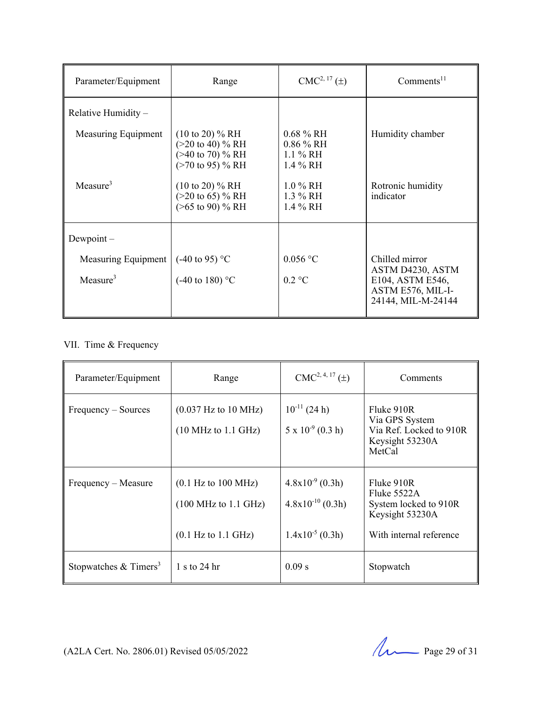| Parameter/Equipment                         | Range                                                                                                                                                                                        | $CMC2, 17(\pm)$                                                                              | $Comments^{11}$                                                                                   |
|---------------------------------------------|----------------------------------------------------------------------------------------------------------------------------------------------------------------------------------------------|----------------------------------------------------------------------------------------------|---------------------------------------------------------------------------------------------------|
| Relative Humidity -                         |                                                                                                                                                                                              |                                                                                              |                                                                                                   |
| Measuring Equipment<br>Measure <sup>3</sup> | $(10 \text{ to } 20) \% RH$<br>$(>20 \text{ to } 40)$ % RH<br>$($ >40 to 70) % RH<br>$($ >70 to 95) % RH<br>$(10 \text{ to } 20)$ % RH<br>$(>20 \text{ to } 65)$ % RH<br>$($ >65 to 90) % RH | $0.68\%$ RH<br>$0.86\%$ RH<br>$1.1\%$ RH<br>1.4 % RH<br>$1.0\%$ RH<br>1.3 % RH<br>$1.4\%$ RH | Humidity chamber<br>Rotronic humidity<br>indicator                                                |
|                                             |                                                                                                                                                                                              |                                                                                              |                                                                                                   |
| $Dewpoint -$                                |                                                                                                                                                                                              |                                                                                              |                                                                                                   |
| Measuring Equipment<br>Measure $3$          | $(-40 \text{ to } 95)$ °C<br>$(-40 \text{ to } 180)$ °C                                                                                                                                      | $0.056$ °C<br>$0.2 \text{ °C}$                                                               | Chilled mirror<br>ASTM D4230, ASTM<br>E104, ASTM E546,<br>ASTM E576, MIL-I-<br>24144, MIL-M-24144 |

#### VII. Time & Frequency

| Parameter/Equipment               | Range                                                                                                                       | $CMC2, 4, 17(\pm)$                                                    | Comments                                                                                           |
|-----------------------------------|-----------------------------------------------------------------------------------------------------------------------------|-----------------------------------------------------------------------|----------------------------------------------------------------------------------------------------|
| Frequency – Sources               | $(0.037 \text{ Hz}$ to 10 MHz)<br>$(10 \text{ MHz to } 1.1 \text{ GHz})$                                                    | $10^{-11}$ (24 h)<br>$5 \times 10^{-9}$ (0.3 h)                       | Fluke 910R<br>Via GPS System<br>Via Ref. Locked to 910R<br>Keysight 53230A<br>MetCal               |
| Frequency – Measure               | $(0.1 \text{ Hz to } 100 \text{ MHz})$<br>$(100 \text{ MHz to } 1.1 \text{ GHz})$<br>$(0.1 \text{ Hz to } 1.1 \text{ GHz})$ | $4.8x10^{-9}$ (0.3h)<br>$4.8x10^{-10}$ (0.3h)<br>$1.4x10^{-5}$ (0.3h) | Fluke 910R<br>Fluke $5522A$<br>System locked to 910R<br>Keysight 53230A<br>With internal reference |
| Stopwatches & Timers <sup>3</sup> | 1 s to 24 hr                                                                                                                | 0.09 s                                                                | Stopwatch                                                                                          |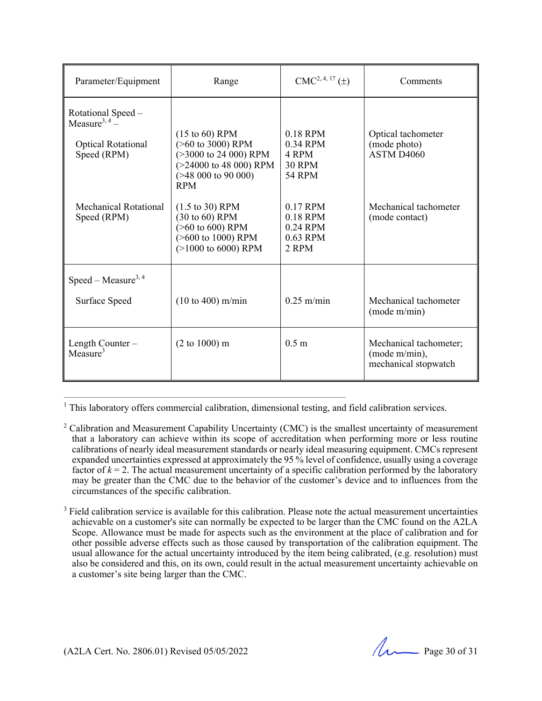| Parameter/Equipment                                                                         | Range                                                                                                                                                         | $CMC2, 4, 17(\pm)$                                         | Comments                                                        |
|---------------------------------------------------------------------------------------------|---------------------------------------------------------------------------------------------------------------------------------------------------------------|------------------------------------------------------------|-----------------------------------------------------------------|
| Rotational Speed -<br>Measure <sup>3, 4</sup> –<br><b>Optical Rotational</b><br>Speed (RPM) | $(15 \text{ to } 60)$ RPM<br>(>60 to 3000) RPM<br>$(>3000 \text{ to } 24000)$ RPM<br>$(>24000 \text{ to } 48000)$ RPM<br>$($ >48 000 to 90 000)<br><b>RPM</b> | $0.18$ RPM<br>0.34 RPM<br>4 RPM<br><b>30 RPM</b><br>54 RPM | Optical tachometer<br>(mode photo)<br>ASTM D <sub>4060</sub>    |
| Mechanical Rotational<br>Speed (RPM)                                                        | $(1.5 \text{ to } 30)$ RPM<br>(30 to 60) RPM<br>$($ >60 to 600) RPM<br>(>600 to 1000) RPM<br>$(>1000$ to 6000) RPM                                            | 0.17 RPM<br>0.18 RPM<br>0.24 RPM<br>0.63 RPM<br>2 RPM      | Mechanical tachometer<br>(mode contact)                         |
| Speed – Measure <sup>3, 4</sup>                                                             |                                                                                                                                                               |                                                            |                                                                 |
| Surface Speed                                                                               | $(10 \text{ to } 400) \text{ m/min}$                                                                                                                          | $0.25$ m/min                                               | Mechanical tachometer<br>(mod m/min)                            |
| Length Counter-<br>Measure <sup>3</sup>                                                     | (2 to 1000) m                                                                                                                                                 | 0.5 <sub>m</sub>                                           | Mechanical tachometer;<br>(mode m/min),<br>mechanical stopwatch |

<sup>1</sup> This laboratory offers commercial calibration, dimensional testing, and field calibration services.

 $\mathcal{L}_\mathcal{L} = \{ \mathcal{L}_\mathcal{L} = \{ \mathcal{L}_\mathcal{L} = \{ \mathcal{L}_\mathcal{L} = \{ \mathcal{L}_\mathcal{L} = \{ \mathcal{L}_\mathcal{L} = \{ \mathcal{L}_\mathcal{L} = \{ \mathcal{L}_\mathcal{L} = \{ \mathcal{L}_\mathcal{L} = \{ \mathcal{L}_\mathcal{L} = \{ \mathcal{L}_\mathcal{L} = \{ \mathcal{L}_\mathcal{L} = \{ \mathcal{L}_\mathcal{L} = \{ \mathcal{L}_\mathcal{L} = \{ \mathcal{L}_\mathcal{$ 

<sup>&</sup>lt;sup>2</sup> Calibration and Measurement Capability Uncertainty (CMC) is the smallest uncertainty of measurement that a laboratory can achieve within its scope of accreditation when performing more or less routine calibrations of nearly ideal measurement standards or nearly ideal measuring equipment. CMCs represent expanded uncertainties expressed at approximately the 95 % level of confidence, usually using a coverage factor of  $k = 2$ . The actual measurement uncertainty of a specific calibration performed by the laboratory may be greater than the CMC due to the behavior of the customer's device and to influences from the circumstances of the specific calibration.

 $3$  Field calibration service is available for this calibration. Please note the actual measurement uncertainties achievable on a customer's site can normally be expected to be larger than the CMC found on the A2LA Scope. Allowance must be made for aspects such as the environment at the place of calibration and for other possible adverse effects such as those caused by transportation of the calibration equipment. The usual allowance for the actual uncertainty introduced by the item being calibrated, (e.g. resolution) must also be considered and this, on its own, could result in the actual measurement uncertainty achievable on a customer's site being larger than the CMC.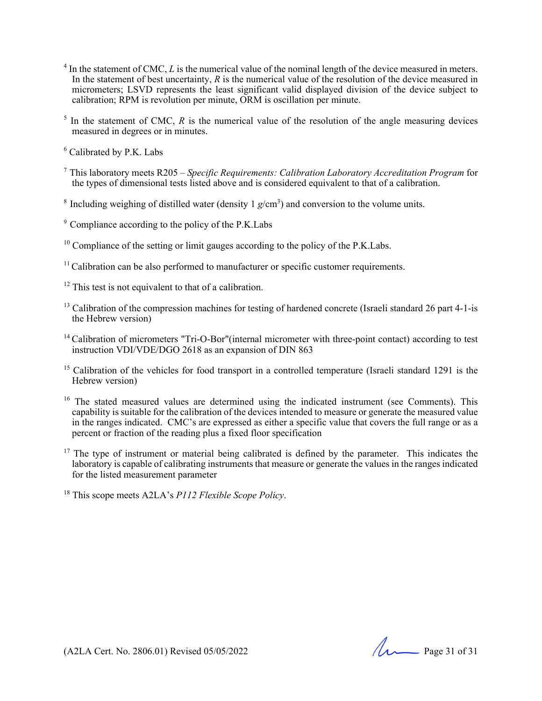- $4$  In the statement of CMC,  $L$  is the numerical value of the nominal length of the device measured in meters. In the statement of best uncertainty, *R* is the numerical value of the resolution of the device measured in micrometers; LSVD represents the least significant valid displayed division of the device subject to calibration; RPM is revolution per minute, ORM is oscillation per minute.
- $<sup>5</sup>$  In the statement of CMC,  $R$  is the numerical value of the resolution of the angle measuring devices</sup> measured in degrees or in minutes.
- 6 Calibrated by P.K. Labs
- 7 This laboratory meets R205  *Specific Requirements: Calibration Laboratory Accreditation Program* for the types of dimensional tests listed above and is considered equivalent to that of a calibration.
- <sup>8</sup> Including weighing of distilled water (density  $1$   $g/cm<sup>3</sup>$ ) and conversion to the volume units.
- 9 Compliance according to the policy of the P.K.Labs
- $10$  Compliance of the setting or limit gauges according to the policy of the P.K. Labs.
- $11$  Calibration can be also performed to manufacturer or specific customer requirements.
- $12$  This test is not equivalent to that of a calibration.
- <sup>13</sup> Calibration of the compression machines for testing of hardened concrete (Israeli standard 26 part 4-1-is the Hebrew version)
- <sup>14</sup> Calibration of micrometers "Tri-O-Bor"(internal micrometer with three-point contact) according to test instruction VDI/VDE/DGO 2618 as an expansion of DIN 863
- <sup>15</sup> Calibration of the vehicles for food transport in a controlled temperature (Israeli standard 1291 is the Hebrew version)
- <sup>16</sup> The stated measured values are determined using the indicated instrument (see Comments). This capability is suitable for the calibration of the devices intended to measure or generate the measured value in the ranges indicated. CMC's are expressed as either a specific value that covers the full range or as a percent or fraction of the reading plus a fixed floor specification
- $17$  The type of instrument or material being calibrated is defined by the parameter. This indicates the laboratory is capable of calibrating instruments that measure or generate the values in the ranges indicated for the listed measurement parameter
- 18 This scope meets A2LA's *P112 Flexible Scope Policy*.

(A2LA Cert. No. 2806.01) Revised 05/05/2022 Page 31 of 31